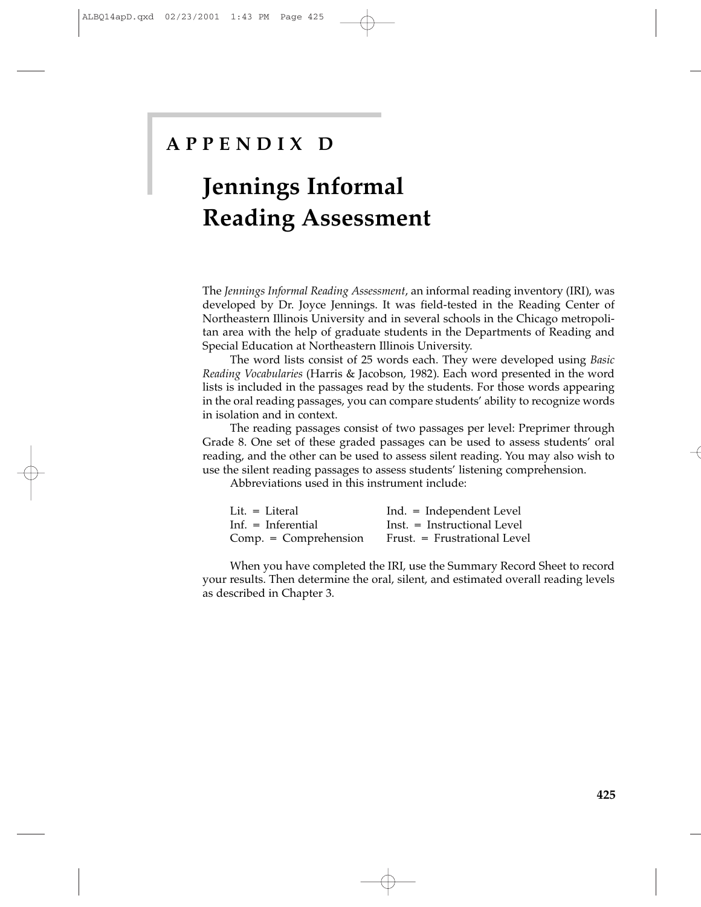# **APPENDIX D**

# **Jennings Informal Reading Assessment**

The *Jennings Informal Reading Assessment*, an informal reading inventory (IRI), was developed by Dr. Joyce Jennings. It was field-tested in the Reading Center of Northeastern Illinois University and in several schools in the Chicago metropolitan area with the help of graduate students in the Departments of Reading and Special Education at Northeastern Illinois University.

The word lists consist of 25 words each. They were developed using *Basic Reading Vocabularies* (Harris & Jacobson, 1982). Each word presented in the word lists is included in the passages read by the students. For those words appearing in the oral reading passages, you can compare students' ability to recognize words in isolation and in context.

The reading passages consist of two passages per level: Preprimer through Grade 8. One set of these graded passages can be used to assess students' oral reading, and the other can be used to assess silent reading. You may also wish to use the silent reading passages to assess students' listening comprehension.

Abbreviations used in this instrument include:

| Lit. $=$ Literal        | Ind. = Independent Level     |
|-------------------------|------------------------------|
| $Inf. = Inferential$    | Inst. = Instructional Level  |
| $Comp. = Comprehension$ | Frust. = Frustrational Level |

When you have completed the IRI, use the Summary Record Sheet to record your results. Then determine the oral, silent, and estimated overall reading levels as described in Chapter 3.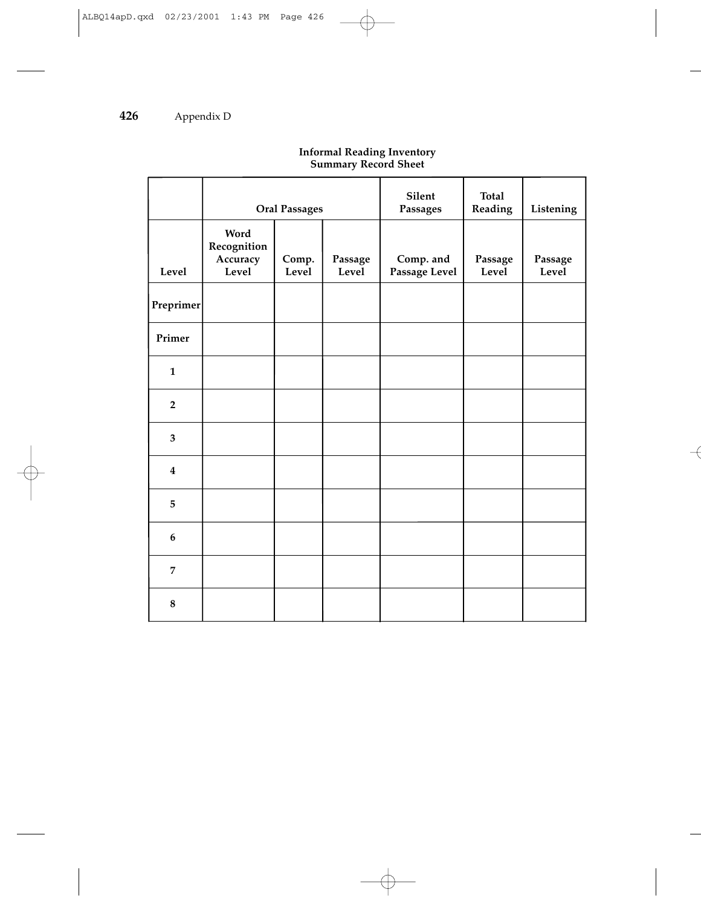|                         |                                          | <b>Oral Passages</b> |                  | Silent<br>Passages         | <b>Total</b><br>Reading | Listening        |
|-------------------------|------------------------------------------|----------------------|------------------|----------------------------|-------------------------|------------------|
| Level                   | Word<br>Recognition<br>Accuracy<br>Level | Comp.<br>Level       | Passage<br>Level | Comp. and<br>Passage Level | Passage<br>Level        | Passage<br>Level |
| Preprimer               |                                          |                      |                  |                            |                         |                  |
| Primer                  |                                          |                      |                  |                            |                         |                  |
| $\mathbf{1}$            |                                          |                      |                  |                            |                         |                  |
| $\overline{2}$          |                                          |                      |                  |                            |                         |                  |
| 3                       |                                          |                      |                  |                            |                         |                  |
| $\overline{\mathbf{4}}$ |                                          |                      |                  |                            |                         |                  |
| 5                       |                                          |                      |                  |                            |                         |                  |
| 6                       |                                          |                      |                  |                            |                         |                  |
| $\overline{7}$          |                                          |                      |                  |                            |                         |                  |
| 8                       |                                          |                      |                  |                            |                         |                  |

# **Informal Reading Inventory Summary Record Sheet**

 $\downarrow$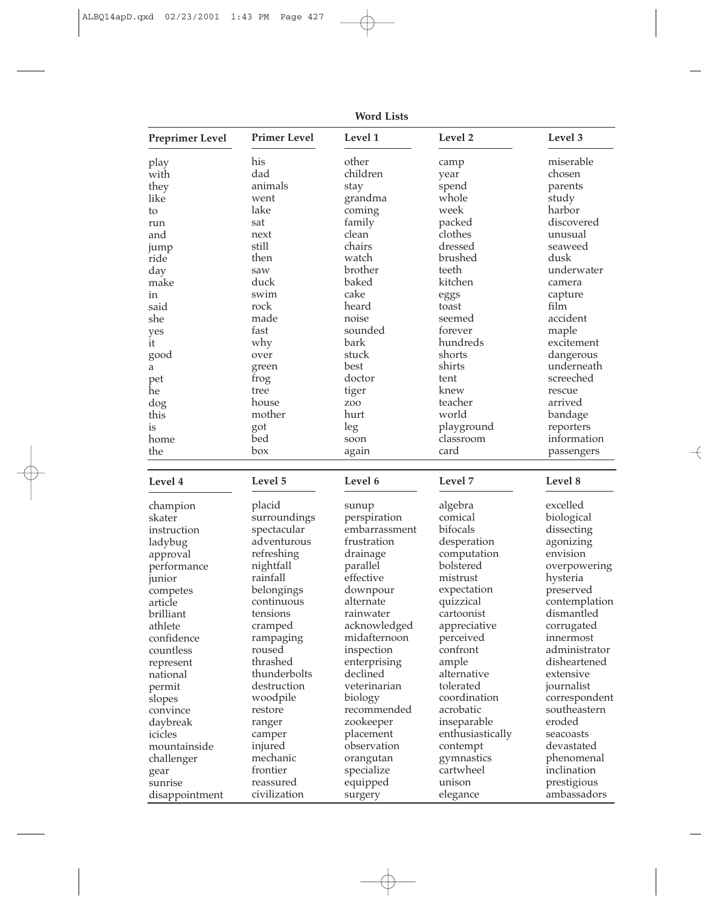| Preprimer Level | <b>Primer Level</b> | Level 1         | Level 2    | Level 3     |
|-----------------|---------------------|-----------------|------------|-------------|
| play            | his                 | other           | camp       | miserable   |
| with            | dad                 | children        | year       | chosen      |
| they            | animals             | stay            | spend      | parents     |
| like            | went                | grandma         | whole      | study       |
| to              | lake                | coming          | week       | harbor      |
| run             | sat                 | family          | packed     | discovered  |
| and             | next                | clean           | clothes    | unusual     |
| jump            | still               | chairs          | dressed    | seaweed     |
| ride            | then                | watch           | brushed    | dusk        |
| day             | saw                 | brother         | teeth      | underwater  |
| make            | duck                | baked           | kitchen    | camera      |
| in              | swim                | cake            | eggs       | capture     |
| said            | rock                | heard           | toast      | film        |
| she             | made                | noise           | seemed     | accident    |
| yes             | fast                | sounded         | forever    | maple       |
| it              | why                 | bark            | hundreds   | excitement  |
| good            | over                | stuck           | shorts     | dangerous   |
| a               | green               | best            | shirts     | underneath  |
| pet             | frog                | doctor          | tent       | screeched   |
| ĥe              | tree                | tiger           | knew       | rescue      |
| dog             | house               | ZO <sub>O</sub> | teacher    | arrived     |
| this            | mother              | hurt            | world      | bandage     |
| is              | got                 | leg             | playground | reporters   |
| home            | bed                 | soon            | classroom  | information |
| the             | box                 | again           | card       | passengers  |
|                 |                     |                 |            |             |

 $\color{black} \bigoplus$ 

 $\overline{a}$ 

| Level 4        | Level 5      | Level 6       | Level 7          | Level 8       |
|----------------|--------------|---------------|------------------|---------------|
| champion       | placid       | sunup         | algebra          | excelled      |
| skater         | surroundings | perspiration  | comical          | biological    |
| instruction    | spectacular  | embarrassment | bifocals         | dissecting    |
| ladybug        | adventurous  | frustration   | desperation      | agonizing     |
| approval       | refreshing   | drainage      | computation      | envision      |
| performance    | nightfall    | parallel      | bolstered        | overpowering  |
| junior         | rainfall     | effective     | mistrust         | hysteria      |
| competes       | belongings   | downpour      | expectation      | preserved     |
| article        | continuous   | alternate     | quizzical        | contemplation |
| brilliant      | tensions     | rainwater     | cartoonist       | dismantled    |
| athlete        | cramped      | acknowledged  | appreciative     | corrugated    |
| confidence     | rampaging    | midafternoon  | perceived        | innermost     |
| countless      | roused       | inspection    | confront         | administrator |
| represent      | thrashed     | enterprising  | ample            | disheartened  |
| national       | thunderbolts | declined      | alternative      | extensive     |
| permit         | destruction  | veterinarian  | tolerated        | journalist    |
| slopes         | woodpile     | biology       | coordination     | correspondent |
| convince       | restore      | recommended   | acrobatic        | southeastern  |
| daybreak       | ranger       | zookeeper     | inseparable      | eroded        |
| icicles        | camper       | placement     | enthusiastically | seacoasts     |
| mountainside   | injured      | observation   | contempt         | devastated    |
| challenger     | mechanic     | orangutan     | gymnastics       | phenomenal    |
| gear           | frontier     | specialize    | cartwheel        | inclination   |
| sunrise        | reassured    | equipped      | unison           | prestigious   |
| disappointment | civilization | surgery       | elegance         | ambassadors   |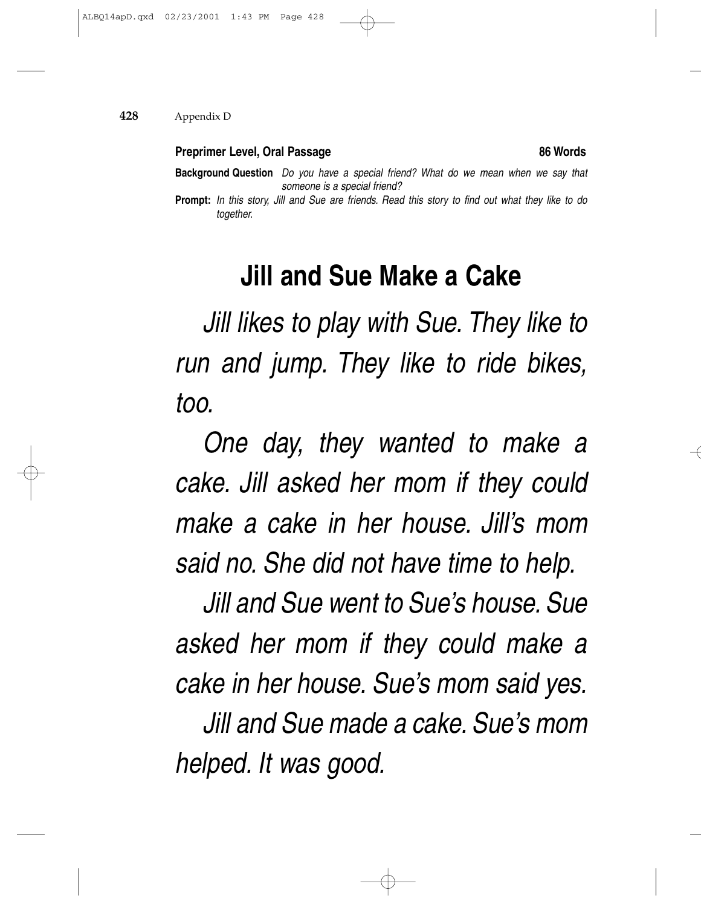**Preprimer Level, Oral Passage 86 Words Background Question** Do you have a special friend? What do we mean when we say that someone is a special friend?

**Prompt:** In this story, Jill and Sue are friends. Read this story to find out what they like to do together.

# **Jill and Sue Make a Cake**

Jill likes to play with Sue. They like to run and jump. They like to ride bikes, too.

One day, they wanted to make a cake. Jill asked her mom if they could make a cake in her house. Jill's mom said no. She did not have time to help.

Jill and Sue went to Sue's house. Sue asked her mom if they could make a cake in her house. Sue's mom said yes. Jill and Sue made a cake. Sue's mom helped. It was good.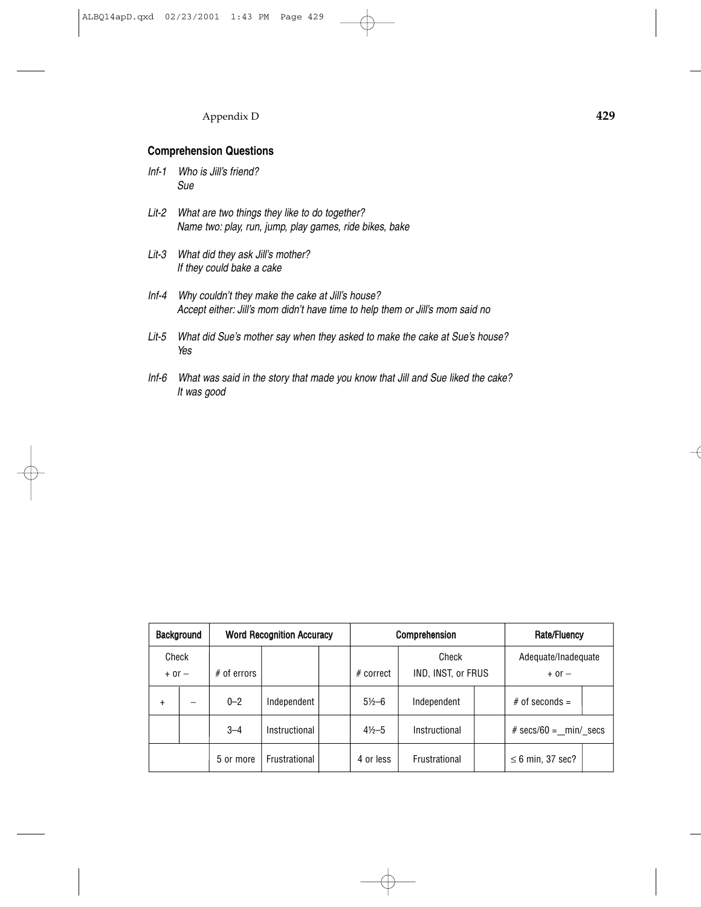- Inf-1 Who is Jill's friend? Sue
- Lit-2 What are two things they like to do together? Name two: play, run, jump, play games, ride bikes, bake
- Lit-3 What did they ask Jill's mother? If they could bake a cake
- Inf-4 Why couldn't they make the cake at Jill's house? Accept either: Jill's mom didn't have time to help them or Jill's mom said no
- Lit-5 What did Sue's mother say when they asked to make the cake at Sue's house? Yes
- Inf-6 What was said in the story that made you know that Jill and Sue liked the cake? It was good

| <b>Word Recognition Accuracy</b><br><b>Background</b> |   | Comprehension |               |  | Rate/Fluency       |                             |  |                               |  |
|-------------------------------------------------------|---|---------------|---------------|--|--------------------|-----------------------------|--|-------------------------------|--|
| Check<br>$+$ or $-$                                   |   | $#$ of errors |               |  | $#$ correct        | Check<br>IND, INST, or FRUS |  | Adequate/Inadequate<br>$+0r-$ |  |
| $\ddot{}$                                             | - | $0 - 2$       | Independent   |  | $5\frac{1}{2} - 6$ | Independent                 |  | $#$ of seconds =              |  |
|                                                       |   | $3 - 4$       | Instructional |  | $4\frac{1}{2} - 5$ | Instructional               |  | $#$ secs/60 = $min/$ secs     |  |
|                                                       |   | 5 or more     | Frustrational |  | 4 or less          | Frustrational               |  | $\leq 6$ min, 37 sec?         |  |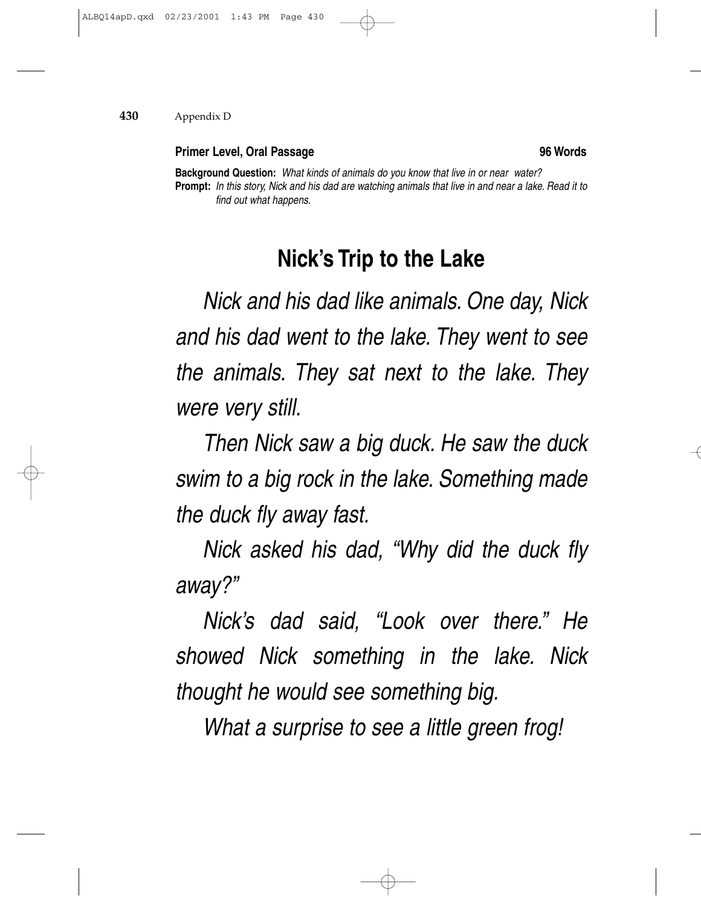# **Primer Level, Oral Passage 96 Words**

**Background Question:** What kinds of animals do you know that live in or near water? **Prompt:** In this story, Nick and his dad are watching animals that live in and near a lake. Read it to find out what happens.

# **Nick's Trip to the Lake**

Nick and his dad like animals. One day, Nick and his dad went to the lake. They went to see the animals. They sat next to the lake. They were very still.

Then Nick saw a big duck. He saw the duck swim to a big rock in the lake. Something made the duck fly away fast.

Nick asked his dad, "Why did the duck fly away?"

Nick's dad said, "Look over there." He showed Nick something in the lake. Nick thought he would see something big.

What a surprise to see a little green frog!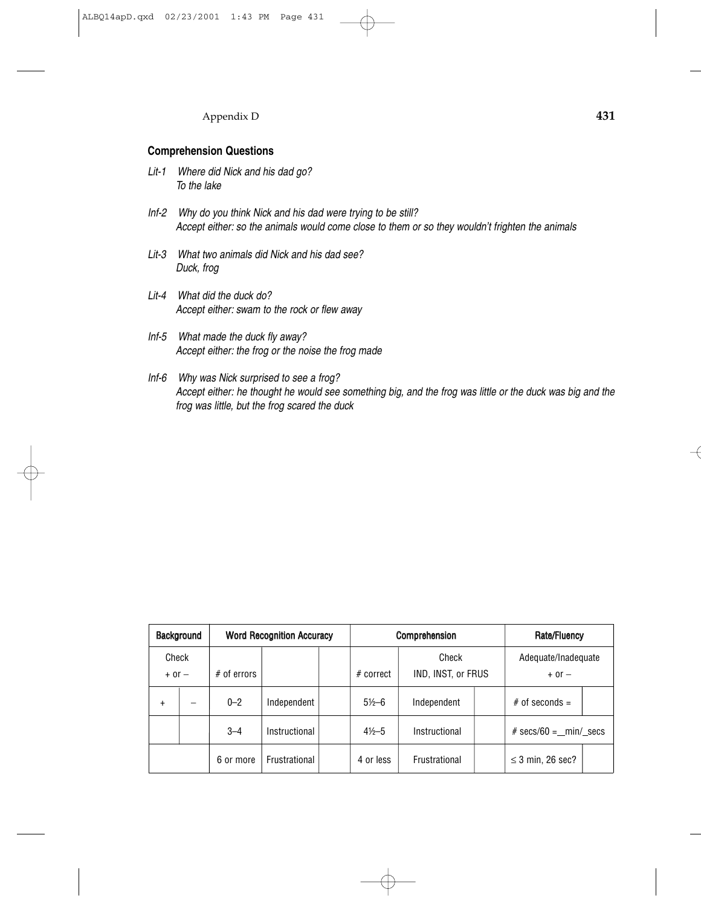- Lit-1 Where did Nick and his dad go? To the lake
- Inf-2 Why do you think Nick and his dad were trying to be still? Accept either: so the animals would come close to them or so they wouldn't frighten the animals
- Lit-3 What two animals did Nick and his dad see? Duck, frog
- Lit-4 What did the duck do? Accept either: swam to the rock or flew away
- Inf-5 What made the duck fly away? Accept either: the frog or the noise the frog made
- Inf-6 Why was Nick surprised to see a frog? Accept either: he thought he would see something big, and the frog was little or the duck was big and the frog was little, but the frog scared the duck

| <b>Word Recognition Accuracy</b><br><b>Background</b> |   |                                                             | <b>Comprehension</b> |  |                               | Rate/Fluency  |  |                           |  |
|-------------------------------------------------------|---|-------------------------------------------------------------|----------------------|--|-------------------------------|---------------|--|---------------------------|--|
| Check<br>$+$ or $-$                                   |   | Check<br>IND, INST, or FRUS<br>$#$ of errors<br>$#$ correct |                      |  | Adequate/Inadequate<br>$+0r-$ |               |  |                           |  |
| $\ddot{}$                                             | - | $0 - 2$                                                     | Independent          |  | $5\frac{1}{2} - 6$            | Independent   |  | $#$ of seconds =          |  |
|                                                       |   | $3 - 4$                                                     | Instructional        |  | $4\frac{1}{2} - 5$            | Instructional |  | $#$ secs/60 = $min/$ secs |  |
|                                                       |   | 6 or more                                                   | Frustrational        |  | 4 or less                     | Frustrational |  | $\leq$ 3 min, 26 sec?     |  |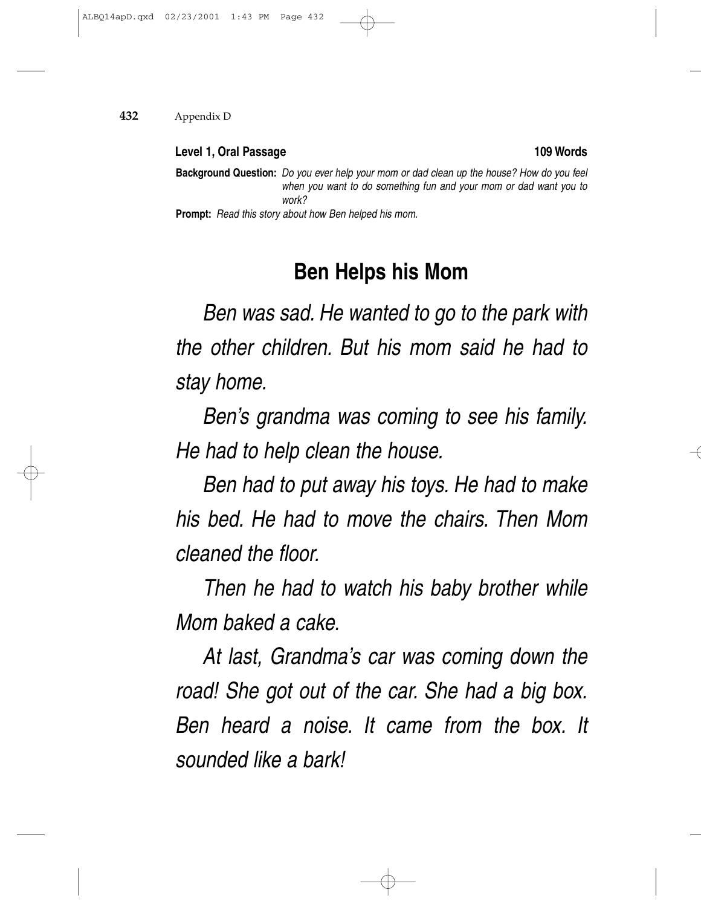Level 1, Oral Passage **109 Words Background Question:** Do you ever help your mom or dad clean up the house? How do you feel when you want to do something fun and your mom or dad want you to work? **Prompt:** Read this story about how Ben helped his mom.

# **Ben Helps his Mom**

Ben was sad. He wanted to go to the park with the other children. But his mom said he had to stay home.

Ben's grandma was coming to see his family. He had to help clean the house.

Ben had to put away his toys. He had to make his bed. He had to move the chairs. Then Mom cleaned the floor.

Then he had to watch his baby brother while Mom baked a cake.

At last, Grandma's car was coming down the road! She got out of the car. She had a big box. Ben heard a noise. It came from the box. It sounded like a bark!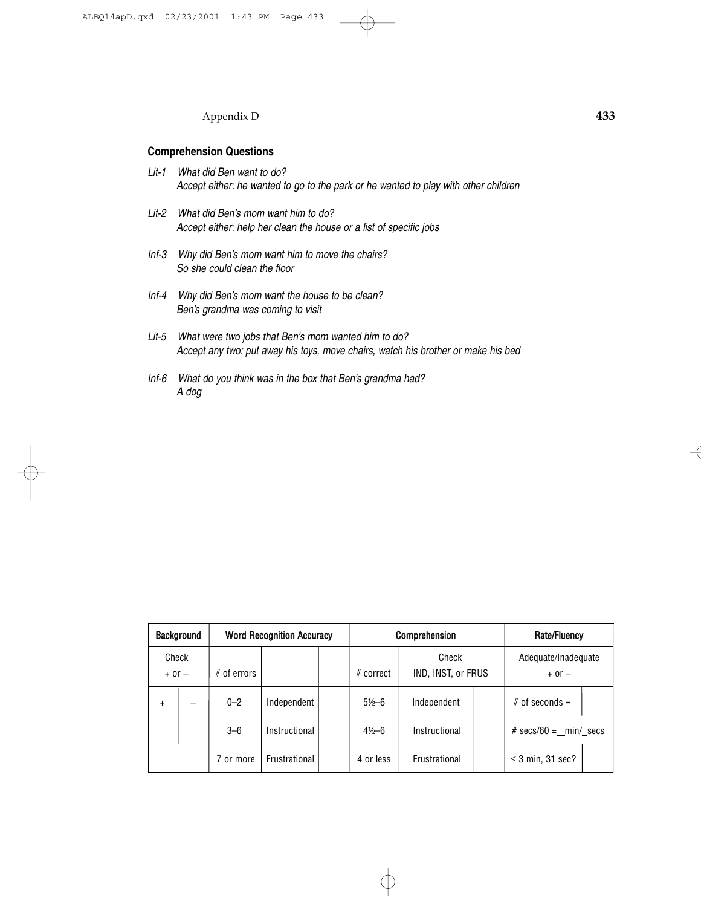- Lit-1 What did Ben want to do? Accept either: he wanted to go to the park or he wanted to play with other children
- Lit-2 What did Ben's mom want him to do? Accept either: help her clean the house or a list of specific jobs
- Inf-3 Why did Ben's mom want him to move the chairs? So she could clean the floor
- Inf-4 Why did Ben's mom want the house to be clean? Ben's grandma was coming to visit
- Lit-5 What were two jobs that Ben's mom wanted him to do? Accept any two: put away his toys, move chairs, watch his brother or make his bed
- Inf-6 What do you think was in the box that Ben's grandma had? A dog

| <b>Word Recognition Accuracy</b><br><b>Background</b> |                          | <b>Comprehension</b> |               |             | <b>Rate/Fluency</b> |                             |  |                                   |  |
|-------------------------------------------------------|--------------------------|----------------------|---------------|-------------|---------------------|-----------------------------|--|-----------------------------------|--|
| Check<br>$+$ or $-$                                   |                          | $#$ of errors        |               | $#$ correct |                     | Check<br>IND, INST, or FRUS |  | Adequate/Inadequate<br>$+$ or $-$ |  |
| $\ddot{}$                                             | $\overline{\phantom{0}}$ | $0 - 2$              | Independent   |             | $5\frac{1}{2} - 6$  | Independent                 |  | $#$ of seconds =                  |  |
|                                                       |                          | $3 - 6$              | Instructional |             | $4\frac{1}{2} - 6$  | Instructional               |  | $# \sec s/60 = min/$ secs         |  |
|                                                       |                          | 7 or more            | Frustrational |             | 4 or less           | Frustrational               |  | $\leq$ 3 min, 31 sec?             |  |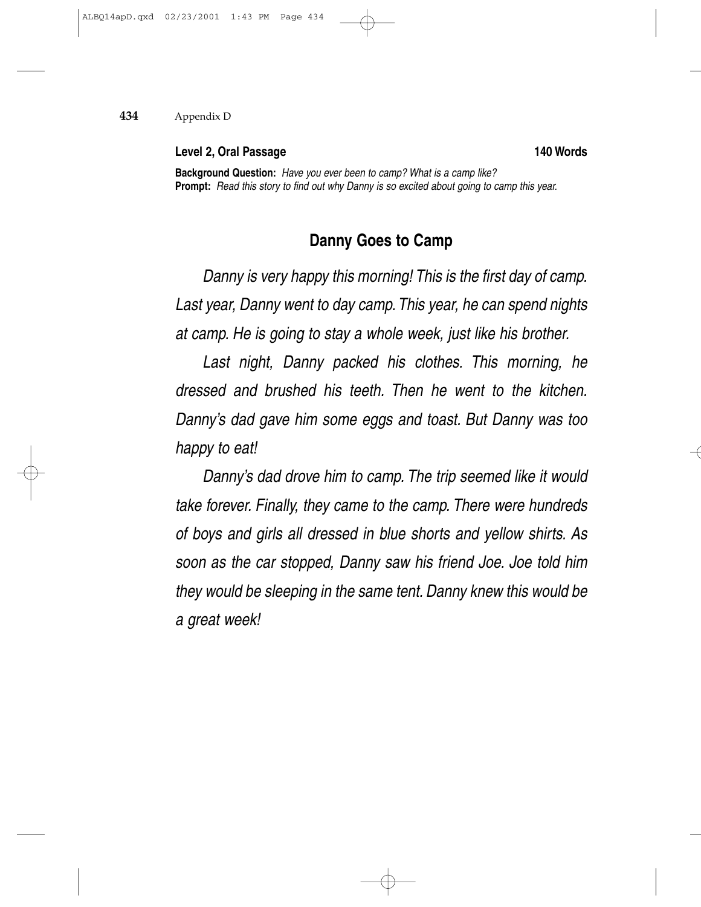**Level 2, Oral Passage 140 Words**

**Background Question:** Have you ever been to camp? What is a camp like? **Prompt:** Read this story to find out why Danny is so excited about going to camp this year.

# **Danny Goes to Camp**

Danny is very happy this morning! This is the first day of camp. Last year, Danny went to day camp. This year, he can spend nights at camp. He is going to stay a whole week, just like his brother.

Last night, Danny packed his clothes. This morning, he dressed and brushed his teeth. Then he went to the kitchen. Danny's dad gave him some eggs and toast. But Danny was too happy to eat!

Danny's dad drove him to camp. The trip seemed like it would take forever. Finally, they came to the camp. There were hundreds of boys and girls all dressed in blue shorts and yellow shirts. As soon as the car stopped, Danny saw his friend Joe. Joe told him they would be sleeping in the same tent. Danny knew this would be a great week!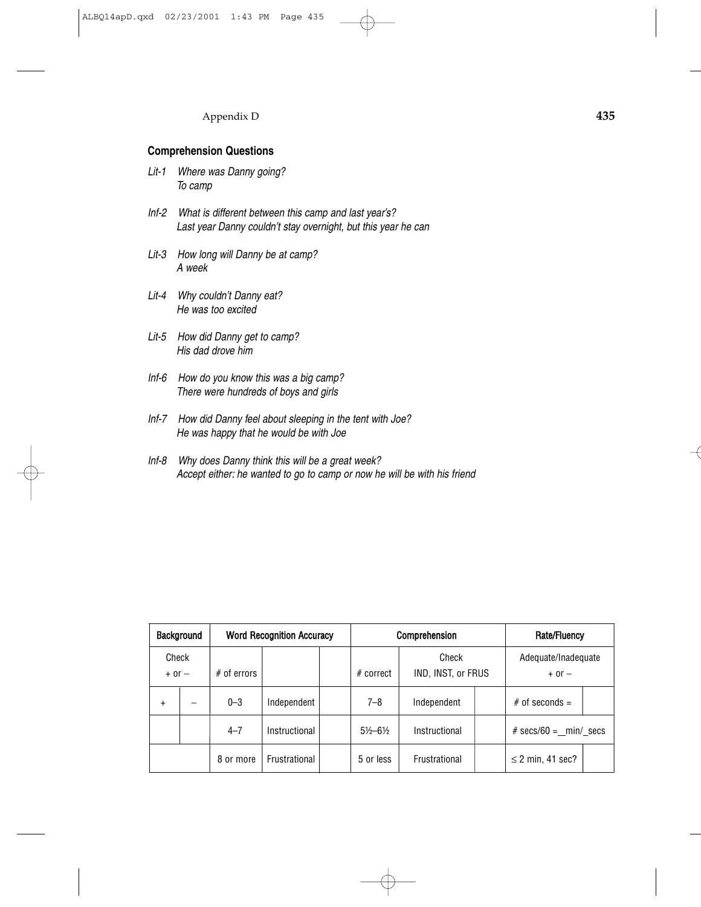- Lit-1 Where was Danny going? To camp
- Inf-2 What is different between this camp and last year's? Last year Danny couldn't stay overnight, but this year he can
- Lit-3 How long will Danny be at camp? A week
- Lit-4 Why couldn't Danny eat? He was too excited
- Lit-5 How did Danny get to camp? His dad drove him
- Inf-6 How do you know this was a big camp? There were hundreds of boys and girls
- Inf-7 How did Danny feel about sleeping in the tent with Joe? He was happy that he would be with Joe
- Inf-8 Why does Danny think this will be a great week? Accept either: he wanted to go to camp or now he will be with his friend

| <b>Background</b><br><b>Word Recognition Accuracy</b> |   |               | <b>Comprehension</b>                       | Rate/Fluency |                               |                                   |  |                            |  |
|-------------------------------------------------------|---|---------------|--------------------------------------------|--------------|-------------------------------|-----------------------------------|--|----------------------------|--|
| Check<br>$+$ or $-$                                   |   | $#$ of errors | Check<br>IND, INST, or FRUS<br>$#$ correct |              |                               | Adequate/Inadequate<br>$+$ or $-$ |  |                            |  |
| $\ddot{}$                                             | - | $0 - 3$       | Independent                                |              | $7 - 8$                       | Independent                       |  | $#$ of seconds =           |  |
|                                                       |   | $4 - 7$       | Instructional                              |              | $5\frac{1}{2} - 6\frac{1}{2}$ | Instructional                     |  | $# \sec s/60 = min/ sec s$ |  |
|                                                       |   | 8 or more     | Frustrational                              |              | 5 or less                     | Frustrational                     |  | $\leq$ 2 min, 41 sec?      |  |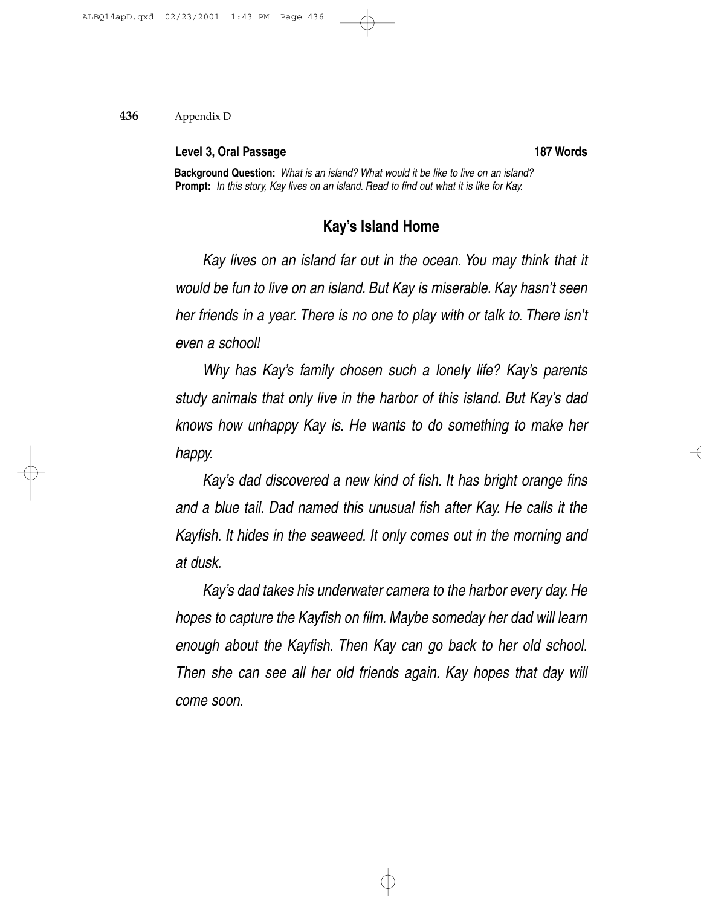# Level 3, Oral Passage **187 Words**

**Background Question:** What is an island? What would it be like to live on an island? **Prompt:** In this story, Kay lives on an island. Read to find out what it is like for Kay.

# **Kay's Island Home**

Kay lives on an island far out in the ocean. You may think that it would be fun to live on an island. But Kay is miserable. Kay hasn't seen her friends in a year. There is no one to play with or talk to. There isn't even a school!

Why has Kay's family chosen such a lonely life? Kay's parents study animals that only live in the harbor of this island. But Kay's dad knows how unhappy Kay is. He wants to do something to make her happy.

Kay's dad discovered a new kind of fish. It has bright orange fins and a blue tail. Dad named this unusual fish after Kay. He calls it the Kayfish. It hides in the seaweed. It only comes out in the morning and at dusk.

Kay's dad takes his underwater camera to the harbor every day. He hopes to capture the Kayfish on film. Maybe someday her dad will learn enough about the Kayfish. Then Kay can go back to her old school. Then she can see all her old friends again. Kay hopes that day will come soon.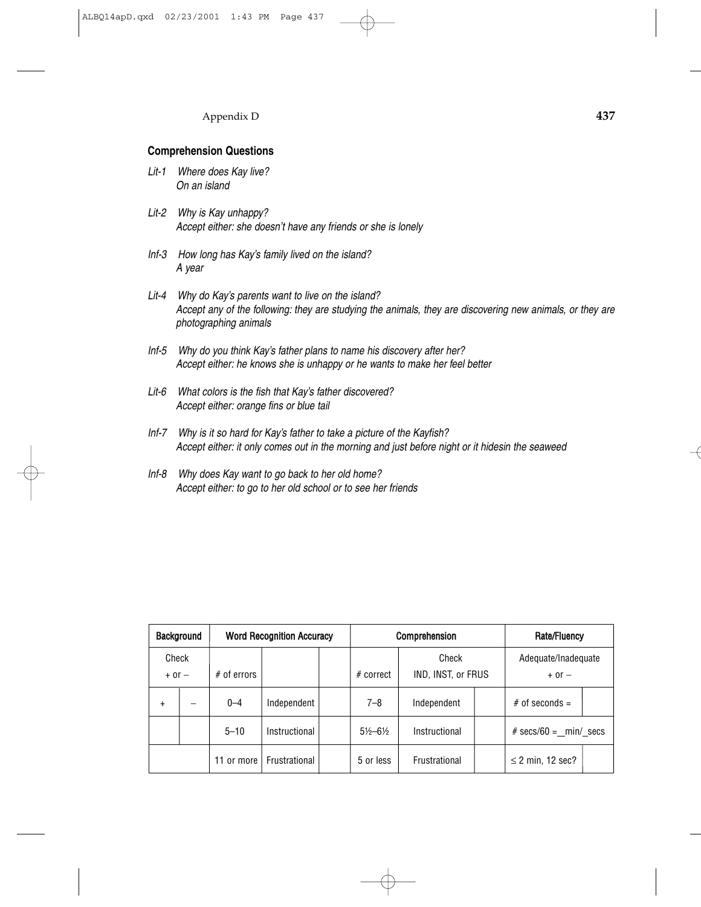- Lit-1 Where does Kay live? On an island
- Lit-2 Why is Kay unhappy? Accept either: she doesn't have any friends or she is lonely
- Inf-3 How long has Kay's family lived on the island? A year
- Lit-4 Why do Kay's parents want to live on the island? Accept any of the following: they are studying the animals, they are discovering new animals, or they are photographing animals
- Inf-5 Why do you think Kay's father plans to name his discovery after her? Accept either: he knows she is unhappy or he wants to make her feel better
- Lit-6 What colors is the fish that Kay's father discovered? Accept either: orange fins or blue tail
- Inf-7 Why is it so hard for Kay's father to take a picture of the Kayfish? Accept either: it only comes out in the morning and just before night or it hidesin the seaweed
- Inf-8 Why does Kay want to go back to her old home? Accept either: to go to her old school or to see her friends

| <b>Word Recognition Accuracy</b><br><b>Background</b> |  |                                                             | <b>Comprehension</b> | <b>Rate/Fluency</b> |                               |               |  |                                       |  |
|-------------------------------------------------------|--|-------------------------------------------------------------|----------------------|---------------------|-------------------------------|---------------|--|---------------------------------------|--|
| Check<br>$+$ or $-$                                   |  | Check<br>IND, INST, or FRUS<br>$#$ of errors<br>$#$ correct |                      |                     | Adequate/Inadequate<br>$+0r-$ |               |  |                                       |  |
| $\ddot{}$                                             |  | $0 - 4$                                                     | Independent          |                     | $7 - 8$                       | Independent   |  | $#$ of seconds =                      |  |
|                                                       |  | $5 - 10$                                                    | Instructional        |                     | $5\frac{1}{2} - 6\frac{1}{2}$ | Instructional |  | $# \text{secs}/60 = \text{min/ secs}$ |  |
|                                                       |  | 11 or more                                                  | Frustrational        |                     | 5 or less                     | Frustrational |  | $\leq$ 2 min, 12 sec?                 |  |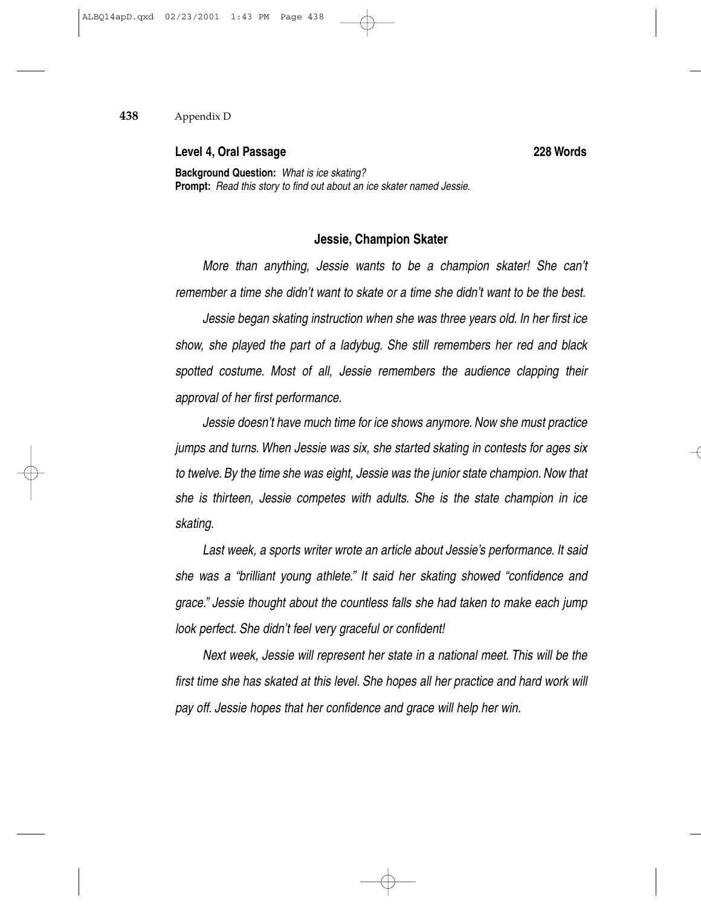**Level 4, Oral Passage 228 Words**

**Background Question:** What is ice skating? **Prompt:** Read this story to find out about an ice skater named Jessie.

# **Jessie, Champion Skater**

More than anything, Jessie wants to be a champion skater! She can't remember a time she didn't want to skate or a time she didn't want to be the best.

Jessie began skating instruction when she was three years old. In her first ice show, she played the part of a ladybug. She still remembers her red and black spotted costume. Most of all, Jessie remembers the audience clapping their approval of her first performance.

Jessie doesn't have much time for ice shows anymore. Now she must practice jumps and turns. When Jessie was six, she started skating in contests for ages six to twelve. By the time she was eight, Jessie was the junior state champion. Now that she is thirteen, Jessie competes with adults. She is the state champion in ice skating.

Last week, a sports writer wrote an article about Jessie's performance. It said she was a "brilliant young athlete." It said her skating showed "confidence and grace." Jessie thought about the countless falls she had taken to make each jump look perfect. She didn't feel very graceful or confident!

Next week, Jessie will represent her state in a national meet. This will be the first time she has skated at this level. She hopes all her practice and hard work will pay off. Jessie hopes that her confidence and grace will help her win.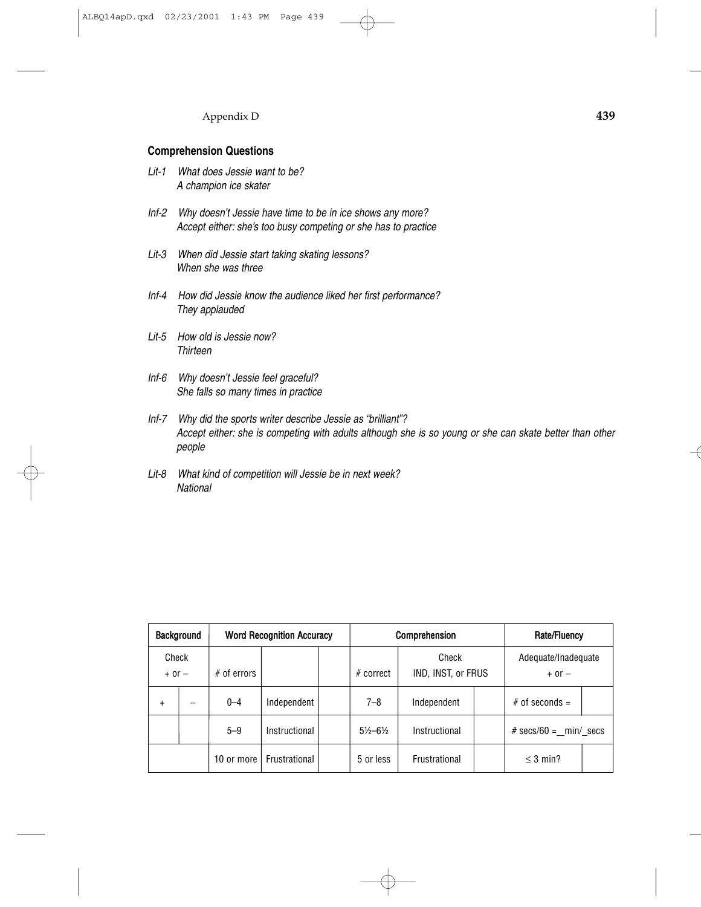- Lit-1 What does Jessie want to be? A champion ice skater
- Inf-2 Why doesn't Jessie have time to be in ice shows any more? Accept either: she's too busy competing or she has to practice
- Lit-3 When did Jessie start taking skating lessons? When she was three
- Inf-4 How did Jessie know the audience liked her first performance? They applauded
- Lit-5 How old is Jessie now? Thirteen
- Inf-6 Why doesn't Jessie feel graceful? She falls so many times in practice
- Inf-7 Why did the sports writer describe Jessie as "brilliant"? Accept either: she is competing with adults although she is so young or she can skate better than other people
- Lit-8 What kind of competition will Jessie be in next week? **National**

|                 | Background<br><b>Word Recognition Accuracy</b> |               |               | <b>Comprehension</b> | Rate/Fluency                  |                             |  |                               |  |
|-----------------|------------------------------------------------|---------------|---------------|----------------------|-------------------------------|-----------------------------|--|-------------------------------|--|
| Check<br>$+0r-$ |                                                | $#$ of errors |               |                      | $#$ correct                   | Check<br>IND, INST, or FRUS |  | Adequate/Inadequate<br>$+0r-$ |  |
| $\ddot{}$       | -                                              | $0 - 4$       | Independent   |                      | $7 - 8$                       | Independent                 |  | $#$ of seconds =              |  |
|                 |                                                | $5 - 9$       | Instructional |                      | $5\frac{1}{2} - 6\frac{1}{2}$ | Instructional               |  | $# \sec s/60 = min/ sec s$    |  |
|                 |                                                | 10 or more    | Frustrational |                      | 5 or less                     | Frustrational               |  | $\leq$ 3 min?                 |  |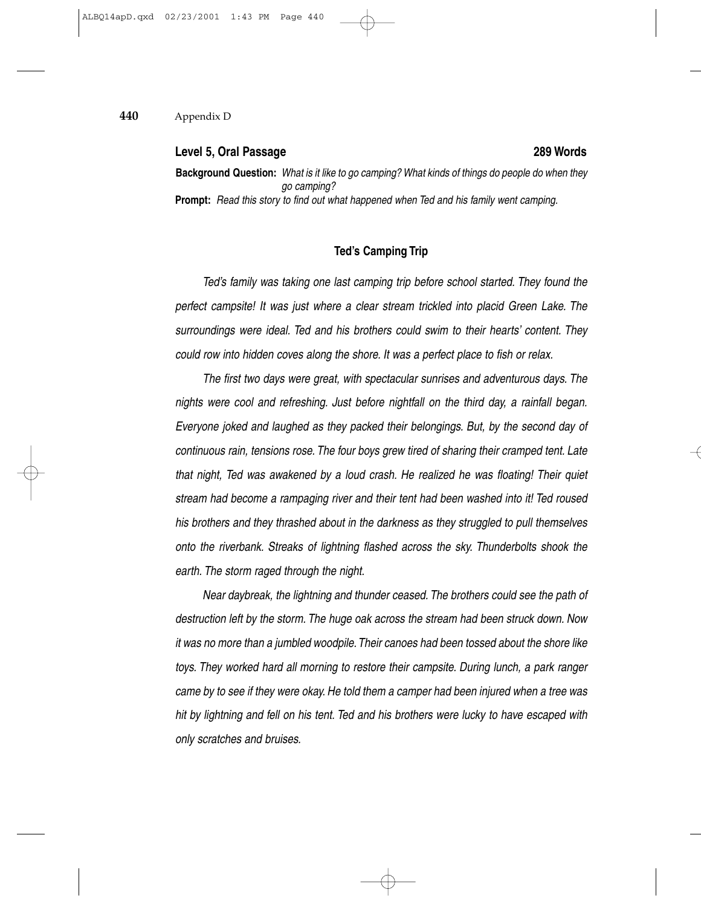**Level 5, Oral Passage 289 Words**

**Background Question:** What is it like to go camping? What kinds of things do people do when they go camping? **Prompt:** Read this story to find out what happened when Ted and his family went camping.

# **Ted's Camping Trip**

Ted's family was taking one last camping trip before school started. They found the perfect campsite! It was just where a clear stream trickled into placid Green Lake. The surroundings were ideal. Ted and his brothers could swim to their hearts' content. They could row into hidden coves along the shore. It was a perfect place to fish or relax.

The first two days were great, with spectacular sunrises and adventurous days. The nights were cool and refreshing. Just before nightfall on the third day, a rainfall began. Everyone joked and laughed as they packed their belongings. But, by the second day of continuous rain, tensions rose. The four boys grew tired of sharing their cramped tent. Late that night, Ted was awakened by a loud crash. He realized he was floating! Their quiet stream had become a rampaging river and their tent had been washed into it! Ted roused his brothers and they thrashed about in the darkness as they struggled to pull themselves onto the riverbank. Streaks of lightning flashed across the sky. Thunderbolts shook the earth. The storm raged through the night.

Near daybreak, the lightning and thunder ceased. The brothers could see the path of destruction left by the storm. The huge oak across the stream had been struck down. Now it was no more than a jumbled woodpile. Their canoes had been tossed about the shore like toys. They worked hard all morning to restore their campsite. During lunch, a park ranger came by to see if they were okay. He told them a camper had been injured when a tree was hit by lightning and fell on his tent. Ted and his brothers were lucky to have escaped with only scratches and bruises.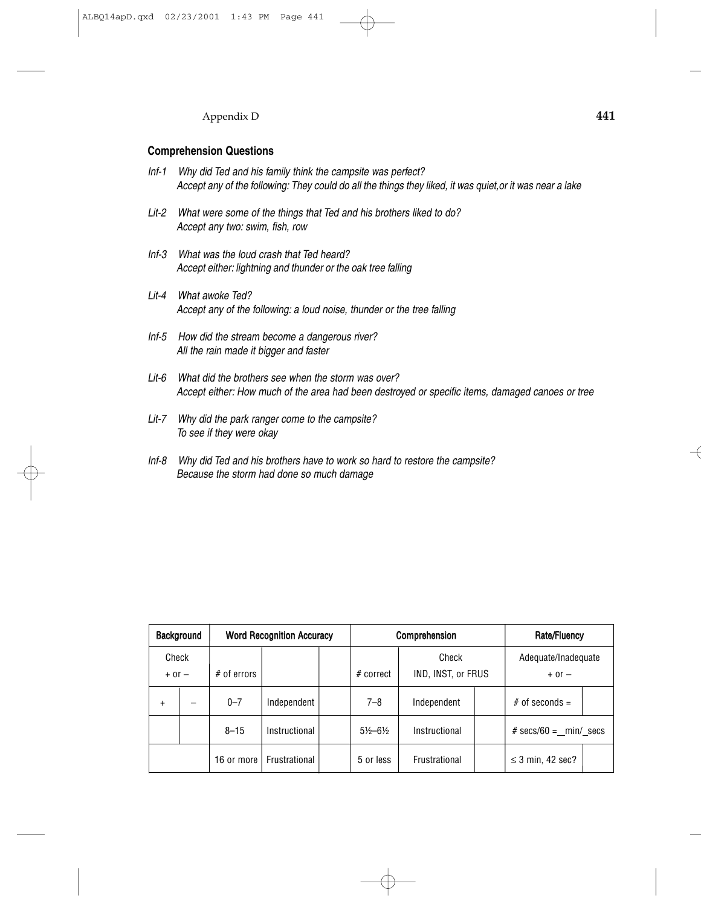- Inf-1 Why did Ted and his family think the campsite was perfect? Accept any of the following: They could do all the things they liked, it was quiet,or it was near a lake
- Lit-2 What were some of the things that Ted and his brothers liked to do? Accept any two: swim, fish, row
- Inf-3 What was the loud crash that Ted heard? Accept either: lightning and thunder or the oak tree falling
- Lit-4 What awoke Ted? Accept any of the following: a loud noise, thunder or the tree falling
- Inf-5 How did the stream become a dangerous river? All the rain made it bigger and faster
- Lit-6 What did the brothers see when the storm was over? Accept either: How much of the area had been destroyed or specific items, damaged canoes or tree
- Lit-7 Why did the park ranger come to the campsite? To see if they were okay
- Inf-8 Why did Ted and his brothers have to work so hard to restore the campsite? Because the storm had done so much damage

| <b>Background</b><br><b>Word Recognition Accuracy</b> |  |               | <b>Comprehension</b> | <b>Rate/Fluency</b> |                               |                             |  |                                   |  |
|-------------------------------------------------------|--|---------------|----------------------|---------------------|-------------------------------|-----------------------------|--|-----------------------------------|--|
| Check<br>$+0r-$                                       |  | $#$ of errors |                      |                     | $#$ correct                   | Check<br>IND, INST, or FRUS |  | Adequate/Inadequate<br>$+$ or $-$ |  |
| $\ddot{}$                                             |  | $0 - 7$       | Independent          |                     | $7 - 8$                       | Independent                 |  | $#$ of seconds =                  |  |
|                                                       |  | $8 - 15$      | Instructional        |                     | $5\frac{1}{2} - 6\frac{1}{2}$ | Instructional               |  | $#$ secs/60 = $min/$ secs         |  |
|                                                       |  | 16 or more    | Frustrational        |                     | 5 or less                     | Frustrational               |  | $\leq$ 3 min, 42 sec?             |  |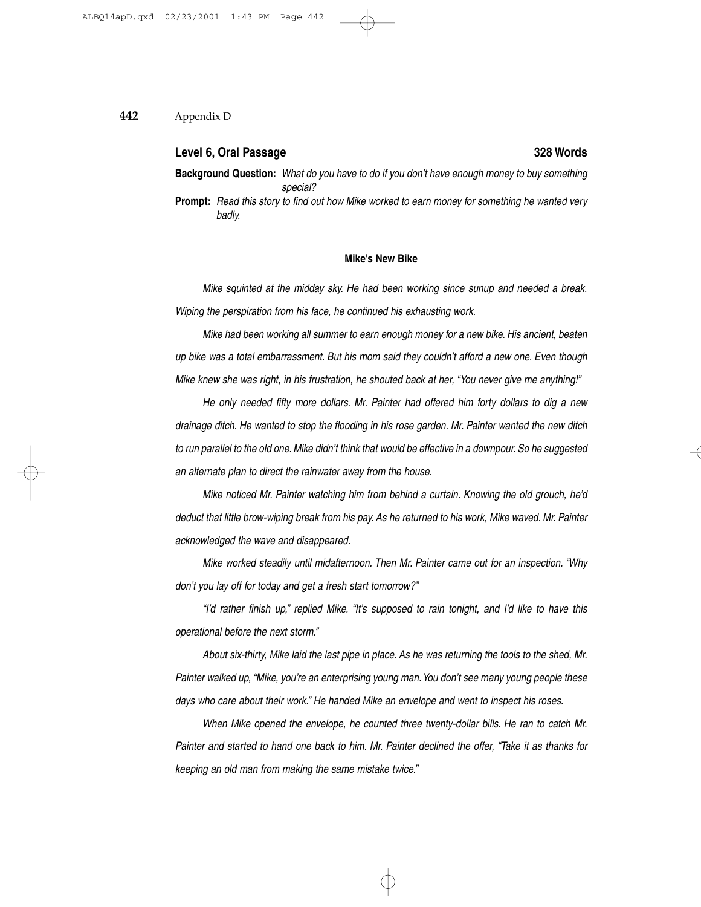Level 6, Oral Passage 328 Words

**Background Question:** What do you have to do if you don't have enough money to buy something special?

**Prompt:** Read this story to find out how Mike worked to earn money for something he wanted very badly.

### **Mike's New Bike**

Mike squinted at the midday sky. He had been working since sunup and needed a break. Wiping the perspiration from his face, he continued his exhausting work.

Mike had been working all summer to earn enough money for a new bike. His ancient, beaten up bike was a total embarrassment. But his mom said they couldn't afford a new one. Even though Mike knew she was right, in his frustration, he shouted back at her, "You never give me anything!"

He only needed fifty more dollars. Mr. Painter had offered him forty dollars to dig a new drainage ditch. He wanted to stop the flooding in his rose garden. Mr. Painter wanted the new ditch to run parallel to the old one. Mike didn't think that would be effective in a downpour. So he suggested an alternate plan to direct the rainwater away from the house.

Mike noticed Mr. Painter watching him from behind a curtain. Knowing the old grouch, he'd deduct that little brow-wiping break from his pay. As he returned to his work, Mike waved. Mr. Painter acknowledged the wave and disappeared.

Mike worked steadily until midafternoon. Then Mr. Painter came out for an inspection. "Why don't you lay off for today and get a fresh start tomorrow?"

"I'd rather finish up," replied Mike. "It's supposed to rain tonight, and I'd like to have this operational before the next storm."

About six-thirty, Mike laid the last pipe in place. As he was returning the tools to the shed, Mr. Painter walked up, "Mike, you're an enterprising young man.You don't see many young people these days who care about their work." He handed Mike an envelope and went to inspect his roses.

When Mike opened the envelope, he counted three twenty-dollar bills. He ran to catch Mr. Painter and started to hand one back to him. Mr. Painter declined the offer, "Take it as thanks for keeping an old man from making the same mistake twice."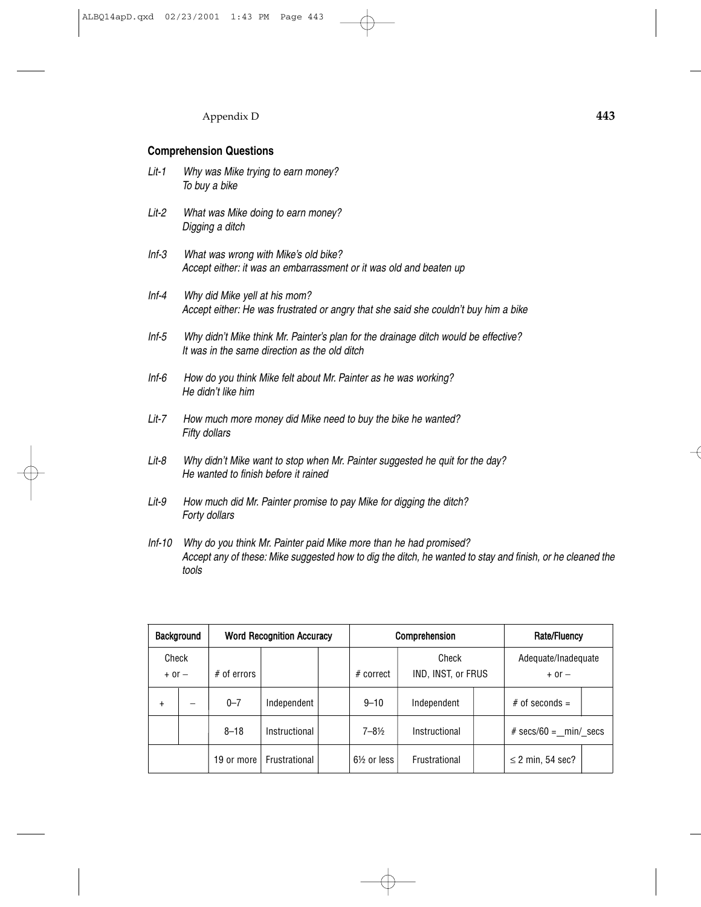- Lit-1 Why was Mike trying to earn money? To buy a bike
- Lit-2 What was Mike doing to earn money? Digging a ditch
- Inf-3 What was wrong with Mike's old bike? Accept either: it was an embarrassment or it was old and beaten up
- Inf-4 Why did Mike yell at his mom? Accept either: He was frustrated or angry that she said she couldn't buy him a bike
- Inf-5 Why didn't Mike think Mr. Painter's plan for the drainage ditch would be effective? It was in the same direction as the old ditch
- Inf-6 How do you think Mike felt about Mr. Painter as he was working? He didn't like him
- Lit-7 How much more money did Mike need to buy the bike he wanted? Fifty dollars
- Lit-8 Why didn't Mike want to stop when Mr. Painter suggested he quit for the day? He wanted to finish before it rained
- Lit-9 How much did Mr. Painter promise to pay Mike for digging the ditch? Forty dollars
- Inf-10 Why do you think Mr. Painter paid Mike more than he had promised? Accept any of these: Mike suggested how to dig the ditch, he wanted to stay and finish, or he cleaned the tools

| <b>Background</b>   |  | <b>Word Recognition Accuracy</b> |               |                                            |                    | <b>Comprehension</b>              | Rate/Fluency |                            |  |
|---------------------|--|----------------------------------|---------------|--------------------------------------------|--------------------|-----------------------------------|--------------|----------------------------|--|
| Check<br>$+$ or $-$ |  | $#$ of errors                    |               | Check<br>IND, INST, or FRUS<br>$#$ correct |                    | Adequate/Inadequate<br>$+$ or $-$ |              |                            |  |
| $\ddot{}$           |  | $0 - 7$                          | Independent   |                                            | $9 - 10$           | Independent                       |              | $#$ of seconds =           |  |
|                     |  | $8 - 18$                         | Instructional |                                            | $7 - 8\frac{1}{2}$ | Instructional                     |              | $# \sec s/60 = min/ sec s$ |  |
|                     |  | 19 or more                       | Frustrational |                                            | $6\%$ or less      | Frustrational                     |              | $\leq$ 2 min, 54 sec?      |  |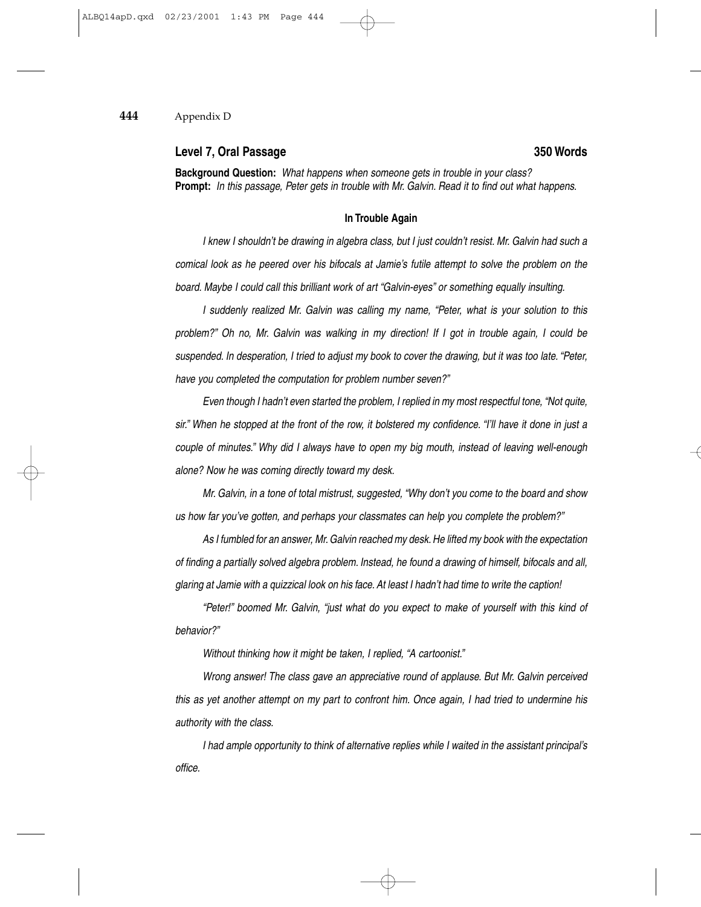# Level 7, Oral Passage **350 Words**

**Background Question:** What happens when someone gets in trouble in your class? **Prompt:** In this passage, Peter gets in trouble with Mr. Galvin. Read it to find out what happens.

### **In Trouble Again**

I knew I shouldn't be drawing in algebra class, but I just couldn't resist. Mr. Galvin had such a comical look as he peered over his bifocals at Jamie's futile attempt to solve the problem on the board. Maybe I could call this brilliant work of art "Galvin-eyes" or something equally insulting.

I suddenly realized Mr. Galvin was calling my name, "Peter, what is your solution to this problem?" Oh no, Mr. Galvin was walking in my direction! If I got in trouble again, I could be suspended. In desperation, I tried to adjust my book to cover the drawing, but it was too late. "Peter, have you completed the computation for problem number seven?"

Even though I hadn't even started the problem, I replied in my most respectful tone, "Not quite, sir." When he stopped at the front of the row, it bolstered my confidence. "I'll have it done in just a couple of minutes." Why did I always have to open my big mouth, instead of leaving well-enough alone? Now he was coming directly toward my desk.

Mr. Galvin, in a tone of total mistrust, suggested, "Why don't you come to the board and show us how far you've gotten, and perhaps your classmates can help you complete the problem?"

As I fumbled for an answer, Mr. Galvin reached my desk. He lifted my book with the expectation of finding a partially solved algebra problem. Instead, he found a drawing of himself, bifocals and all, glaring at Jamie with a quizzical look on his face. At least I hadn't had time to write the caption!

"Peter!" boomed Mr. Galvin, "just what do you expect to make of yourself with this kind of behavior?"

Without thinking how it might be taken, I replied, "A cartoonist."

Wrong answer! The class gave an appreciative round of applause. But Mr. Galvin perceived this as yet another attempt on my part to confront him. Once again, I had tried to undermine his authority with the class.

I had ample opportunity to think of alternative replies while I waited in the assistant principal's office.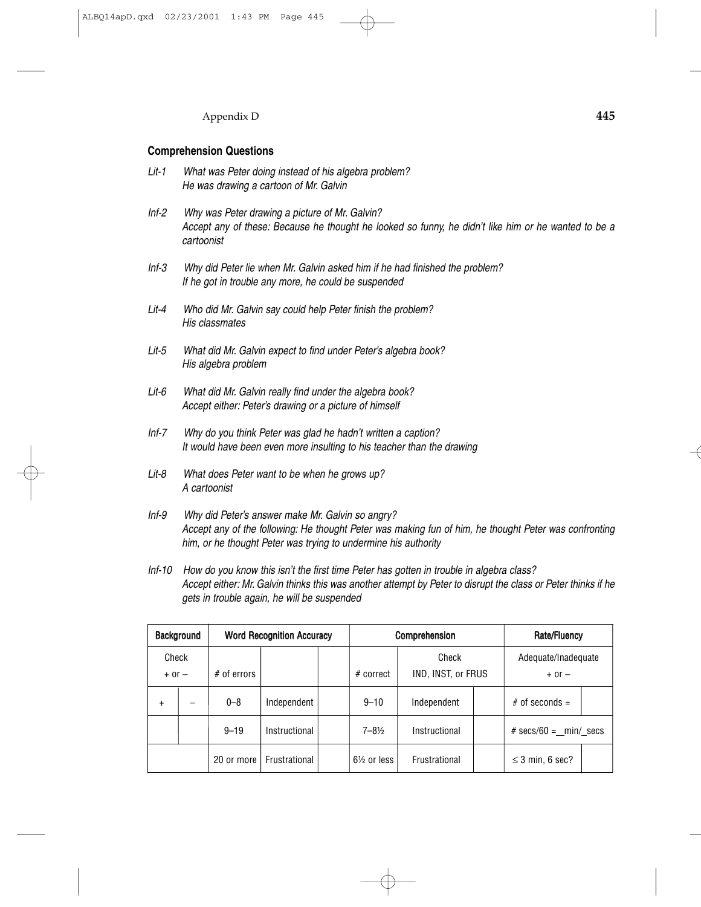- Lit-1 What was Peter doing instead of his algebra problem? He was drawing a cartoon of Mr. Galvin
- Inf-2 Why was Peter drawing a picture of Mr. Galvin? Accept any of these: Because he thought he looked so funny, he didn't like him or he wanted to be a cartoonist
- Inf-3 Why did Peter lie when Mr. Galvin asked him if he had finished the problem? If he got in trouble any more, he could be suspended
- Lit-4 Who did Mr. Galvin say could help Peter finish the problem? His classmates
- Lit-5 What did Mr. Galvin expect to find under Peter's algebra book? His algebra problem
- Lit-6 What did Mr. Galvin really find under the algebra book? Accept either: Peter's drawing or a picture of himself
- Inf-7 Why do you think Peter was glad he hadn't written a caption? It would have been even more insulting to his teacher than the drawing
- Lit-8 What does Peter want to be when he grows up? A cartoonist
- Inf-9 Why did Peter's answer make Mr. Galvin so angry? Accept any of the following: He thought Peter was making fun of him, he thought Peter was confronting him, or he thought Peter was trying to undermine his authority
- Inf-10 How do you know this isn't the first time Peter has gotten in trouble in algebra class? Accept either: Mr. Galvin thinks this was another attempt by Peter to disrupt the class or Peter thinks if he gets in trouble again, he will be suspended

| <b>Background</b>   |  | <b>Word Recognition Accuracy</b> |               |  | Comprehension      |                             |  | Rate/Fluency                      |  |
|---------------------|--|----------------------------------|---------------|--|--------------------|-----------------------------|--|-----------------------------------|--|
| Check<br>$+$ or $-$ |  | $#$ of errors                    |               |  | $#$ correct        | Check<br>IND, INST, or FRUS |  | Adequate/Inadequate<br>$+$ or $-$ |  |
| $\ddot{}$           |  | $0 - 8$                          | Independent   |  | $9 - 10$           | Independent                 |  | $#$ of seconds =                  |  |
|                     |  | $9 - 19$                         | Instructional |  | $7 - 8\frac{1}{2}$ | Instructional               |  | $# \sec s/60 = min/ sec s$        |  |
|                     |  | 20 or more                       | Frustrational |  | $6\%$ or less      | Frustrational               |  | $\leq$ 3 min, 6 sec?              |  |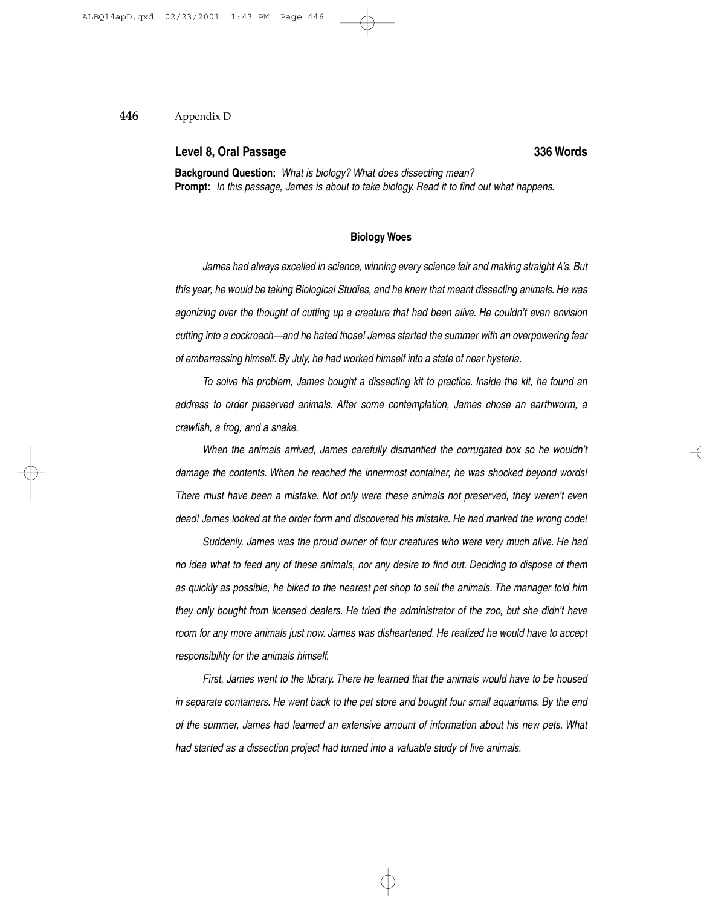# Level 8, Oral Passage 336 Words

**Background Question:** What is biology? What does dissecting mean? **Prompt:** In this passage, James is about to take biology. Read it to find out what happens.

#### **Biology Woes**

James had always excelled in science, winning every science fair and making straight A's. But this year, he would be taking Biological Studies, and he knew that meant dissecting animals. He was agonizing over the thought of cutting up a creature that had been alive. He couldn't even envision cutting into a cockroach—and he hated those! James started the summer with an overpowering fear of embarrassing himself. By July, he had worked himself into a state of near hysteria.

To solve his problem, James bought a dissecting kit to practice. Inside the kit, he found an address to order preserved animals. After some contemplation, James chose an earthworm, a crawfish, a frog, and a snake.

When the animals arrived, James carefully dismantled the corrugated box so he wouldn't damage the contents. When he reached the innermost container, he was shocked beyond words! There must have been a mistake. Not only were these animals not preserved, they weren't even dead! James looked at the order form and discovered his mistake. He had marked the wrong code!

Suddenly, James was the proud owner of four creatures who were very much alive. He had no idea what to feed any of these animals, nor any desire to find out. Deciding to dispose of them as quickly as possible, he biked to the nearest pet shop to sell the animals. The manager told him they only bought from licensed dealers. He tried the administrator of the zoo, but she didn't have room for any more animals just now. James was disheartened. He realized he would have to accept responsibility for the animals himself.

First, James went to the library. There he learned that the animals would have to be housed in separate containers. He went back to the pet store and bought four small aquariums. By the end of the summer, James had learned an extensive amount of information about his new pets. What had started as a dissection project had turned into a valuable study of live animals.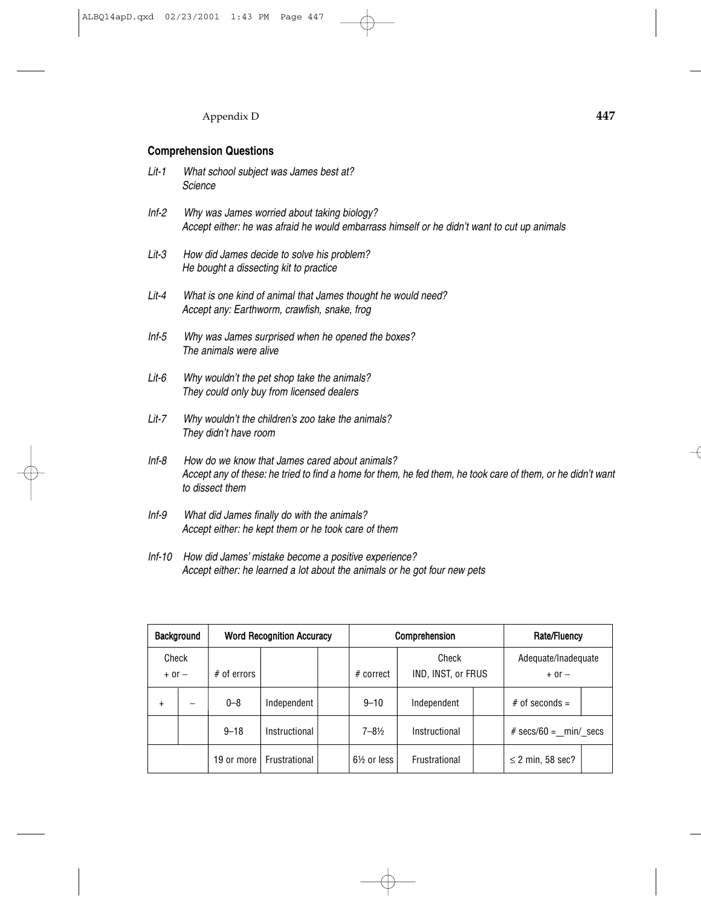- Lit-1 What school subject was James best at? Science
- Inf-2 Why was James worried about taking biology? Accept either: he was afraid he would embarrass himself or he didn't want to cut up animals
- Lit-3 How did James decide to solve his problem? He bought a dissecting kit to practice
- Lit-4 What is one kind of animal that James thought he would need? Accept any: Earthworm, crawfish, snake, frog
- Inf-5 Why was James surprised when he opened the boxes? The animals were alive
- Lit-6 Why wouldn't the pet shop take the animals? They could only buy from licensed dealers
- Lit-7 Why wouldn't the children's zoo take the animals? They didn't have room
- Inf-8 How do we know that James cared about animals? Accept any of these: he tried to find a home for them, he fed them, he took care of them, or he didn't want to dissect them
- Inf-9 What did James finally do with the animals? Accept either: he kept them or he took care of them
- Inf-10 How did James' mistake become a positive experience? Accept either: he learned a lot about the animals or he got four new pets

| Background          |  | <b>Word Recognition Accuracy</b> |               |  | Comprehension      |                             |  | Rate/Fluency                      |  |
|---------------------|--|----------------------------------|---------------|--|--------------------|-----------------------------|--|-----------------------------------|--|
| Check<br>$+$ or $-$ |  | $#$ of errors                    |               |  | $#$ correct        | Check<br>IND, INST, or FRUS |  | Adequate/Inadequate<br>$+$ or $-$ |  |
| $\ddot{}$           |  | $0 - 8$                          | Independent   |  | $9 - 10$           | Independent                 |  | $#$ of seconds =                  |  |
|                     |  | $9 - 18$                         | Instructional |  | $7 - 8\frac{1}{2}$ | Instructional               |  | $# \sec s/60 = min/ sec s$        |  |
|                     |  | 19 or more                       | Frustrational |  | $6\%$ or less      | Frustrational               |  | $\leq$ 2 min, 58 sec?             |  |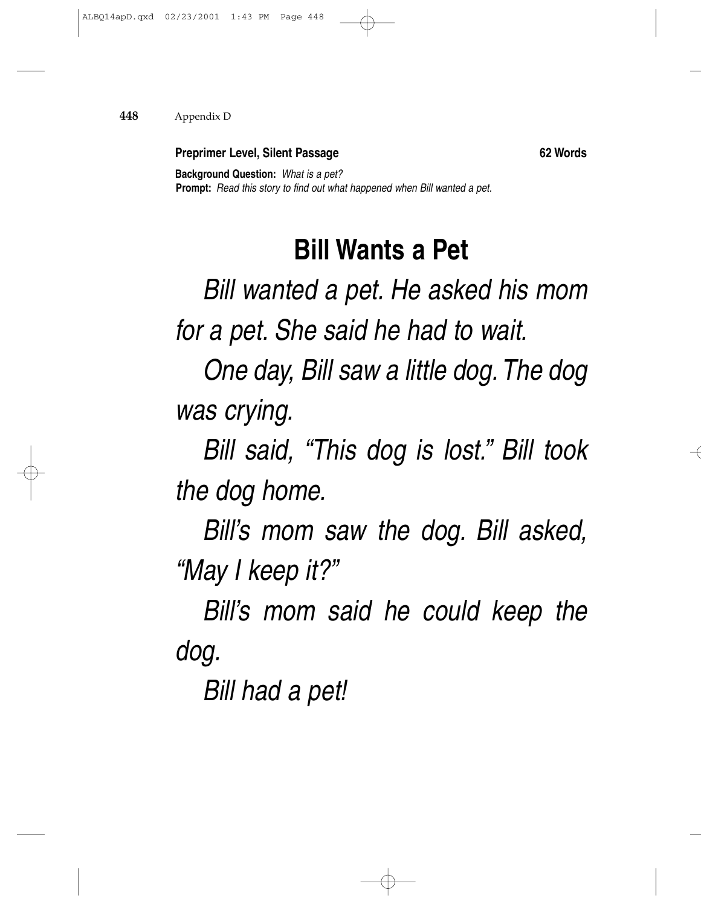# **Preprimer Level, Silent Passage 62 Words**

**Background Question:** What is a pet? **Prompt:** Read this story to find out what happened when Bill wanted a pet.

# **Bill Wants a Pet**

Bill wanted a pet. He asked his mom for a pet. She said he had to wait.

One day, Bill saw a little dog. The dog was crying.

Bill said, "This dog is lost." Bill took the dog home.

Bill's mom saw the dog. Bill asked, "May I keep it?"

Bill's mom said he could keep the dog.

Bill had a pet!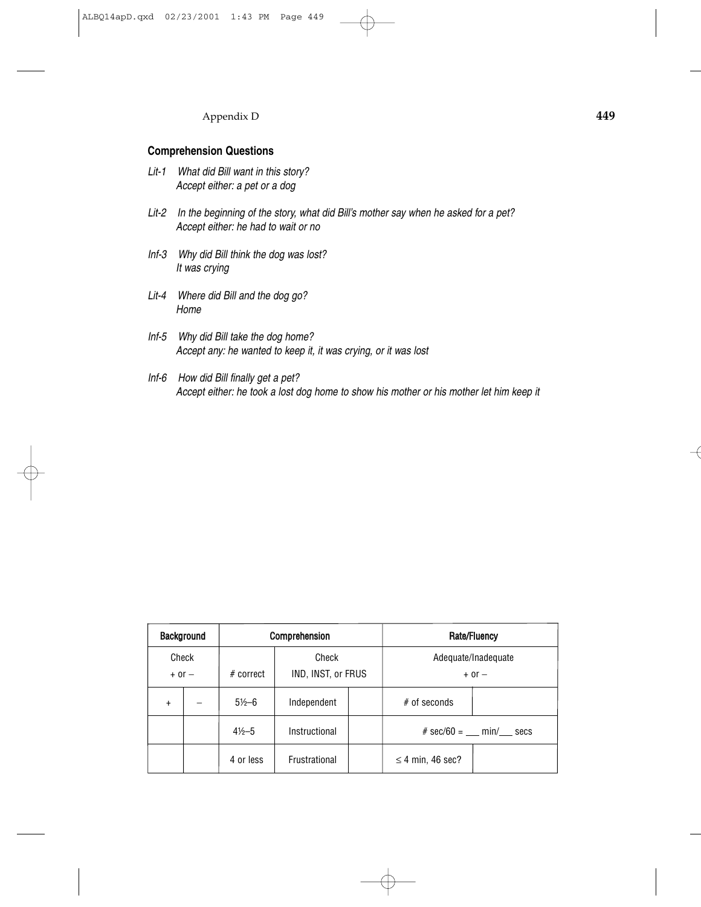- Lit-1 What did Bill want in this story? Accept either: a pet or a dog
- Lit-2 In the beginning of the story, what did Bill's mother say when he asked for a pet? Accept either: he had to wait or no
- Inf-3 Why did Bill think the dog was lost? It was crying
- Lit-4 Where did Bill and the dog go? Home
- Inf-5 Why did Bill take the dog home? Accept any: he wanted to keep it, it was crying, or it was lost
- Inf-6 How did Bill finally get a pet? Accept either: he took a lost dog home to show his mother or his mother let him keep it

| <b>Background</b>   |  |                    | Comprehension               |  | <b>Rate/Fluency</b>           |  |  |
|---------------------|--|--------------------|-----------------------------|--|-------------------------------|--|--|
| Check<br>$+$ or $-$ |  | $#$ correct        | Check<br>IND, INST, or FRUS |  | Adequate/Inadequate<br>$+0r-$ |  |  |
| $\ddot{}$           |  | $5\frac{1}{2}$ -6  | Independent                 |  | $#$ of seconds                |  |  |
|                     |  | $4\frac{1}{2} - 5$ | Instructional               |  | $# \sec/60 =$ min/ secs       |  |  |
|                     |  | 4 or less          | Frustrational               |  | $\leq$ 4 min, 46 sec?         |  |  |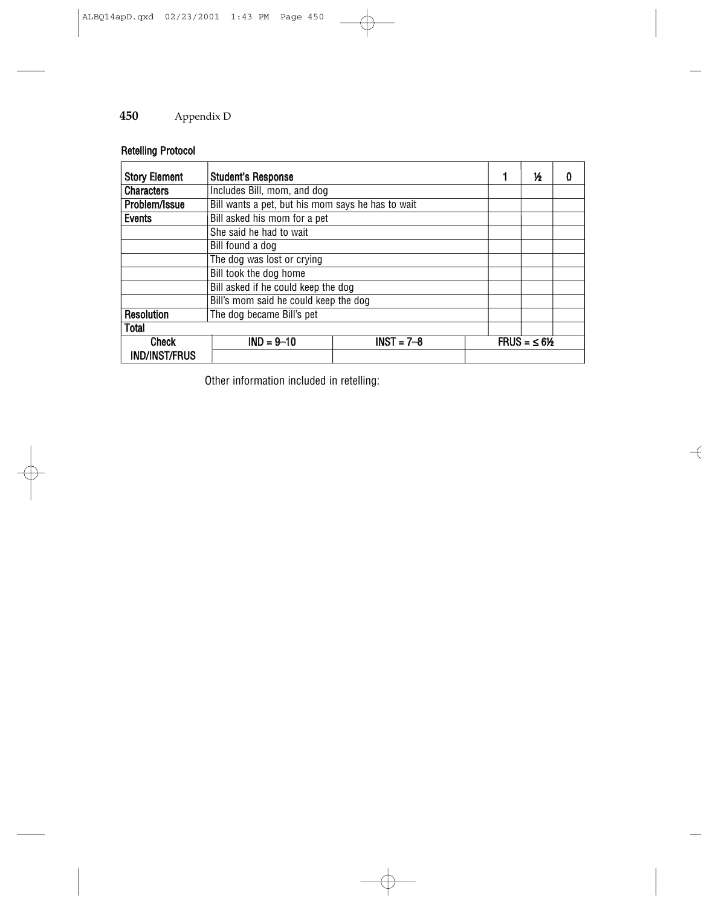# Retelling Protocol

| <b>Story Element</b> | <b>Student's Response</b>                         |  |  | ⅓ |  |  |  |  |  |
|----------------------|---------------------------------------------------|--|--|---|--|--|--|--|--|
| <b>Characters</b>    | Includes Bill, mom, and dog                       |  |  |   |  |  |  |  |  |
| Problem/Issue        | Bill wants a pet, but his mom says he has to wait |  |  |   |  |  |  |  |  |
| <b>Events</b>        | Bill asked his mom for a pet                      |  |  |   |  |  |  |  |  |
|                      | She said he had to wait                           |  |  |   |  |  |  |  |  |
|                      | Bill found a dog                                  |  |  |   |  |  |  |  |  |
|                      | The dog was lost or crying                        |  |  |   |  |  |  |  |  |
|                      | Bill took the dog home                            |  |  |   |  |  |  |  |  |
|                      | Bill asked if he could keep the dog               |  |  |   |  |  |  |  |  |
|                      | Bill's mom said he could keep the dog             |  |  |   |  |  |  |  |  |
| <b>Resolution</b>    | The dog became Bill's pet                         |  |  |   |  |  |  |  |  |
| Total                |                                                   |  |  |   |  |  |  |  |  |
| <b>Check</b>         | $FRUS = 6\%$<br>$IND = 9 - 10$<br>$INST = 7-8$    |  |  |   |  |  |  |  |  |
| <b>IND/INST/FRUS</b> |                                                   |  |  |   |  |  |  |  |  |

 $\bigoplus$ 

Other information included in retelling: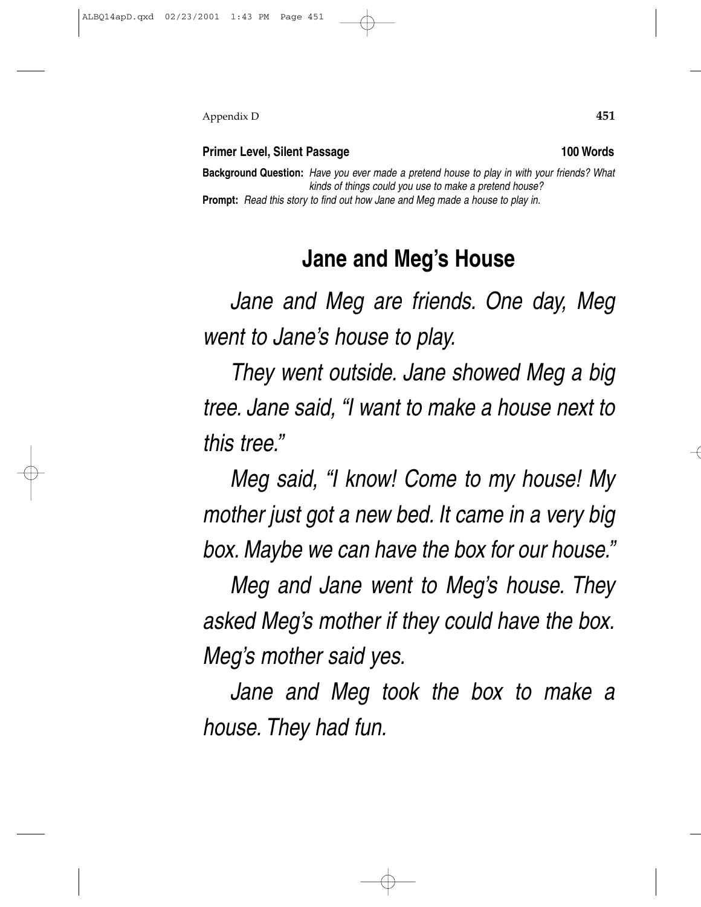**Primer Level, Silent Passage 100 Words** 

**Background Question:** Have you ever made a pretend house to play in with your friends? What kinds of things could you use to make a pretend house? **Prompt:** Read this story to find out how Jane and Meg made a house to play in.

# **Jane and Meg's House**

Jane and Meg are friends. One day, Meg went to Jane's house to play.

They went outside. Jane showed Meg a big tree. Jane said, "I want to make a house next to this tree."

Meg said, "I know! Come to my house! My mother just got a new bed. It came in a very big box. Maybe we can have the box for our house."

Meg and Jane went to Meg's house. They asked Meg's mother if they could have the box. Meg's mother said yes.

Jane and Meg took the box to make a house. They had fun.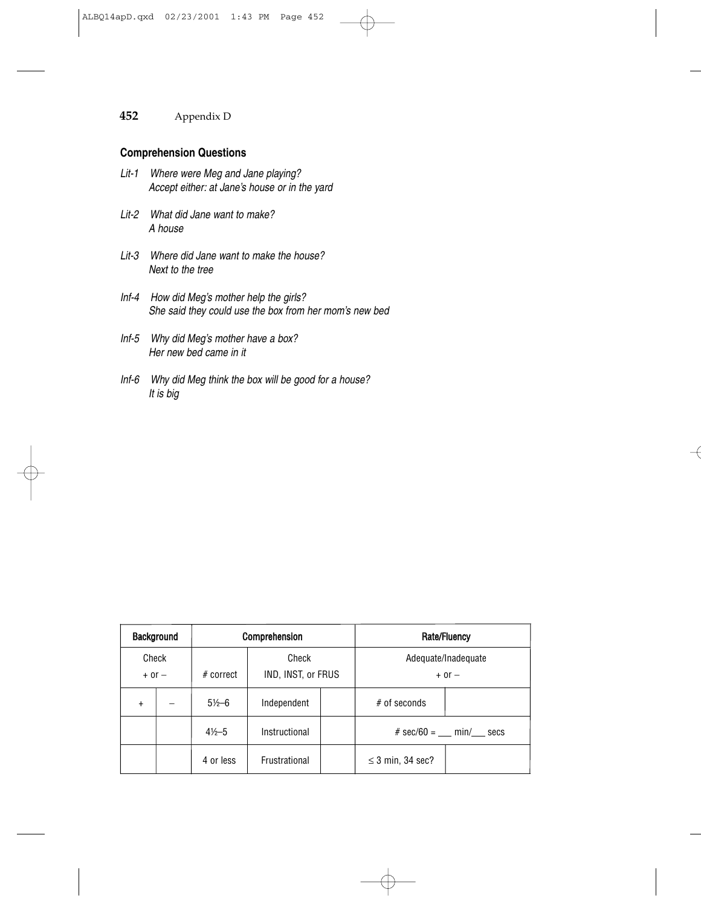- Lit-1 Where were Meg and Jane playing? Accept either: at Jane's house or in the yard
- Lit-2 What did Jane want to make? A house
- Lit-3 Where did Jane want to make the house? Next to the tree
- Inf-4 How did Meg's mother help the girls? She said they could use the box from her mom's new bed
- Inf-5 Why did Meg's mother have a box? Her new bed came in it
- Inf-6 Why did Meg think the box will be good for a house? It is big

| <b>Background</b> |  |                    | Comprehension               |  | Rate/Fluency                  |  |  |
|-------------------|--|--------------------|-----------------------------|--|-------------------------------|--|--|
| Check<br>$+0r-$   |  | $#$ correct        | Check<br>IND, INST, or FRUS |  | Adequate/Inadequate<br>$+0r-$ |  |  |
| $+$               |  | $5\frac{1}{2} - 6$ | Independent                 |  | $#$ of seconds                |  |  |
|                   |  | $4\frac{1}{2} - 5$ | Instructional               |  | $# \sec/60 = \min/$ secs      |  |  |
|                   |  | 4 or less          | Frustrational               |  | $\leq$ 3 min, 34 sec?         |  |  |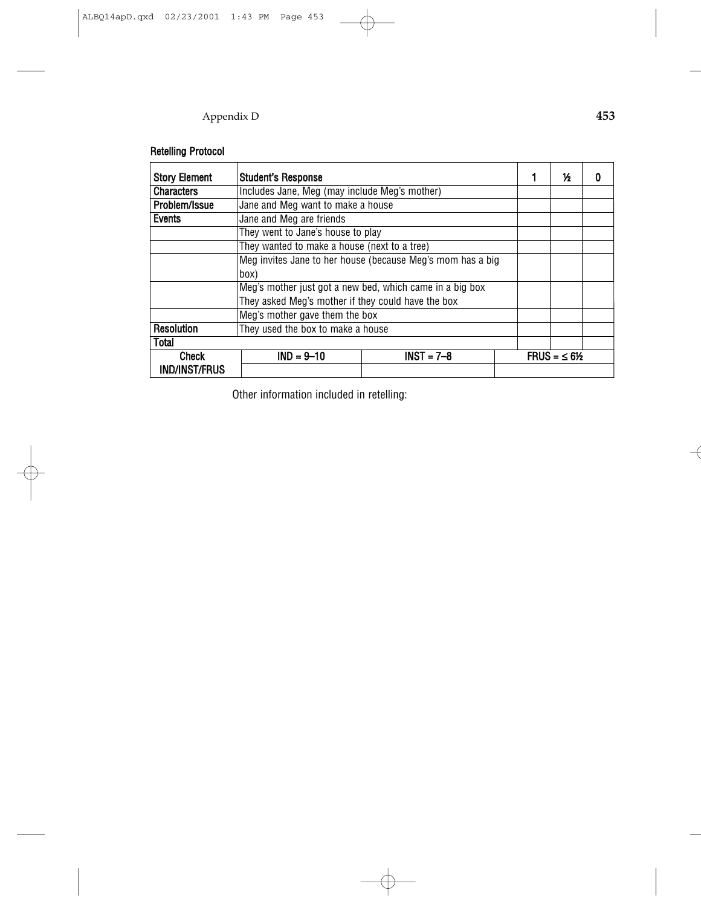# Retelling Protocol

| <b>Story Element</b> | <b>Student's Response</b>                                  |                                                          |  |  | 1/2 |                       |  |  |
|----------------------|------------------------------------------------------------|----------------------------------------------------------|--|--|-----|-----------------------|--|--|
| <b>Characters</b>    | Includes Jane, Meg (may include Meg's mother)              |                                                          |  |  |     |                       |  |  |
| Problem/Issue        | Jane and Meg want to make a house                          |                                                          |  |  |     |                       |  |  |
| <b>Events</b>        | Jane and Meg are friends                                   |                                                          |  |  |     |                       |  |  |
|                      | They went to Jane's house to play                          |                                                          |  |  |     |                       |  |  |
|                      |                                                            | They wanted to make a house (next to a tree)             |  |  |     |                       |  |  |
|                      | Meg invites Jane to her house (because Meg's mom has a big |                                                          |  |  |     |                       |  |  |
|                      | box)                                                       |                                                          |  |  |     |                       |  |  |
|                      |                                                            | Meg's mother just got a new bed, which came in a big box |  |  |     |                       |  |  |
|                      | They asked Meg's mother if they could have the box         |                                                          |  |  |     |                       |  |  |
|                      | Meg's mother gave them the box                             |                                                          |  |  |     |                       |  |  |
| <b>Resolution</b>    |                                                            | They used the box to make a house                        |  |  |     |                       |  |  |
| Total                |                                                            |                                                          |  |  |     |                       |  |  |
| <b>Check</b>         | $IND = 9 - 10$<br>$INST = 7-8$                             |                                                          |  |  |     | $FRUS = 6\frac{1}{2}$ |  |  |
| <b>IND/INST/FRUS</b> |                                                            |                                                          |  |  |     |                       |  |  |

 $\oplus$ 

Other information included in retelling: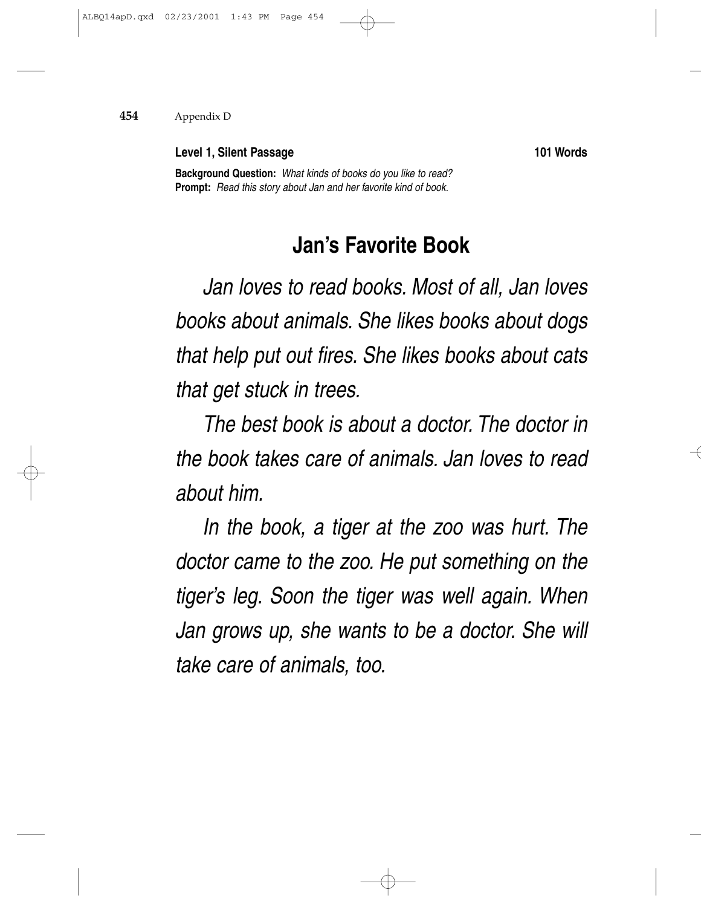Level 1, Silent Passage **101 Words** 

**Background Question:** What kinds of books do you like to read? Prompt: Read this story about Jan and her favorite kind of book.

# **Jan's Favorite Book**

Jan loves to read books. Most of all, Jan loves books about animals. She likes books about dogs that help put out fires. She likes books about cats that get stuck in trees.

The best book is about a doctor. The doctor in the book takes care of animals. Jan loves to read about him.

In the book, a tiger at the zoo was hurt. The doctor came to the zoo. He put something on the tiger's leg. Soon the tiger was well again. When Jan grows up, she wants to be a doctor. She will take care of animals, too.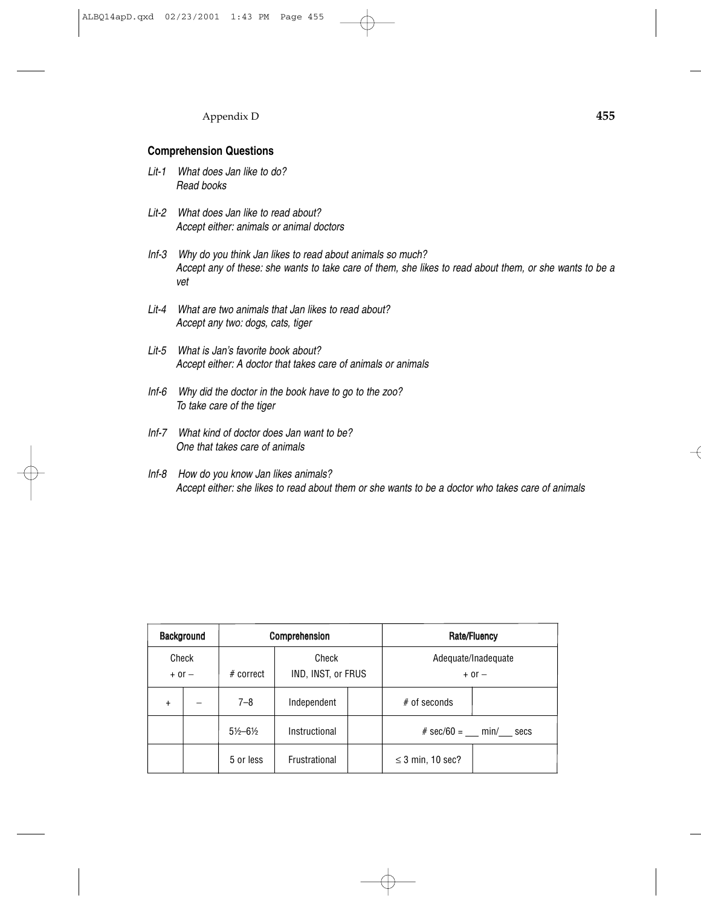- Lit-1 What does Jan like to do? Read books
- Lit-2 What does Jan like to read about? Accept either: animals or animal doctors
- Inf-3 Why do you think Jan likes to read about animals so much? Accept any of these: she wants to take care of them, she likes to read about them, or she wants to be a vet
- Lit-4 What are two animals that Jan likes to read about? Accept any two: dogs, cats, tiger
- Lit-5 What is Jan's favorite book about? Accept either: A doctor that takes care of animals or animals
- Inf-6 Why did the doctor in the book have to go to the zoo? To take care of the tiger
- Inf-7 What kind of doctor does Jan want to be? One that takes care of animals
- Inf-8 How do you know Jan likes animals? Accept either: she likes to read about them or she wants to be a doctor who takes care of animals

| <b>Background</b> |  |                               | <b>Comprehension</b>        |  | Rate/Fluency                      |                        |  |
|-------------------|--|-------------------------------|-----------------------------|--|-----------------------------------|------------------------|--|
| Check<br>$+0r-$   |  | $#$ correct                   | Check<br>IND, INST, or FRUS |  | Adequate/Inadequate<br>$+$ or $-$ |                        |  |
| $+$               |  | $7 - 8$                       | Independent                 |  | $#$ of seconds                    |                        |  |
|                   |  | $5\frac{1}{2} - 6\frac{1}{2}$ | Instructional               |  |                                   | # $sec/60 =$ min/ secs |  |
|                   |  | 5 or less                     | Frustrational               |  | $\leq$ 3 min, 10 sec?             |                        |  |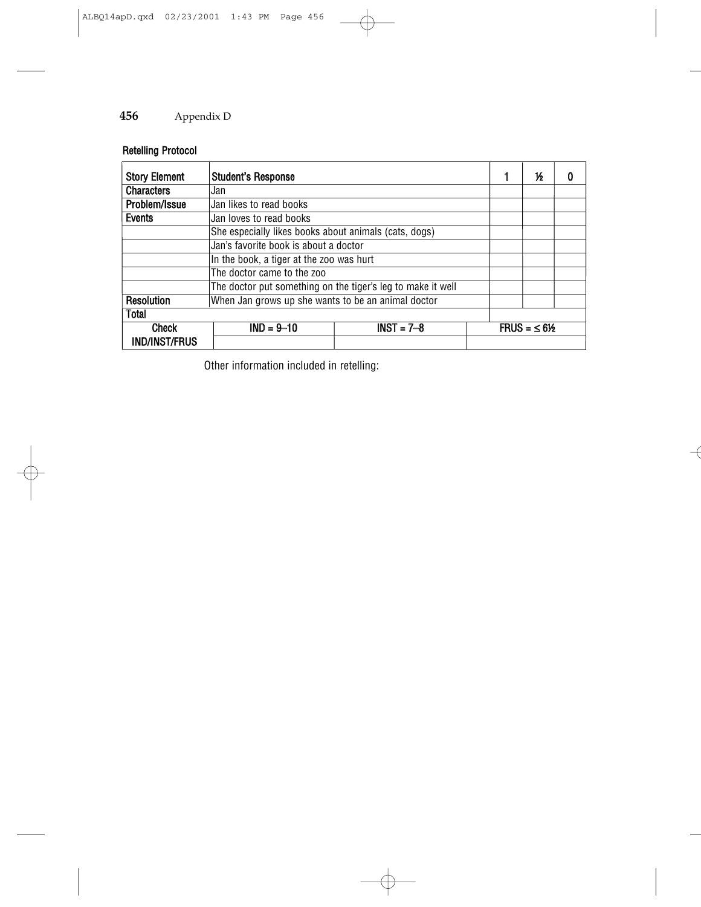# Retelling Protocol

| <b>Story Element</b> | <b>Student's Response</b>                             |                                                             |  | ⅓ |  |  |  |  |
|----------------------|-------------------------------------------------------|-------------------------------------------------------------|--|---|--|--|--|--|
| <b>Characters</b>    | Jan                                                   |                                                             |  |   |  |  |  |  |
| Problem/Issue        | Jan likes to read books                               |                                                             |  |   |  |  |  |  |
| <b>Events</b>        | Jan loves to read books                               |                                                             |  |   |  |  |  |  |
|                      | She especially likes books about animals (cats, dogs) |                                                             |  |   |  |  |  |  |
|                      | Jan's favorite book is about a doctor                 |                                                             |  |   |  |  |  |  |
|                      | In the book, a tiger at the zoo was hurt              |                                                             |  |   |  |  |  |  |
|                      | The doctor came to the zoo                            |                                                             |  |   |  |  |  |  |
|                      |                                                       | The doctor put something on the tiger's leg to make it well |  |   |  |  |  |  |
| <b>Resolution</b>    | When Jan grows up she wants to be an animal doctor    |                                                             |  |   |  |  |  |  |
| Total                |                                                       |                                                             |  |   |  |  |  |  |
| <b>Check</b>         | $IND = 9 - 10$<br>$FRUS = 6\%$<br>$INST = 7-8$        |                                                             |  |   |  |  |  |  |
| IND/INST/FRUS        |                                                       |                                                             |  |   |  |  |  |  |

 $\bigoplus$ 

Other information included in retelling: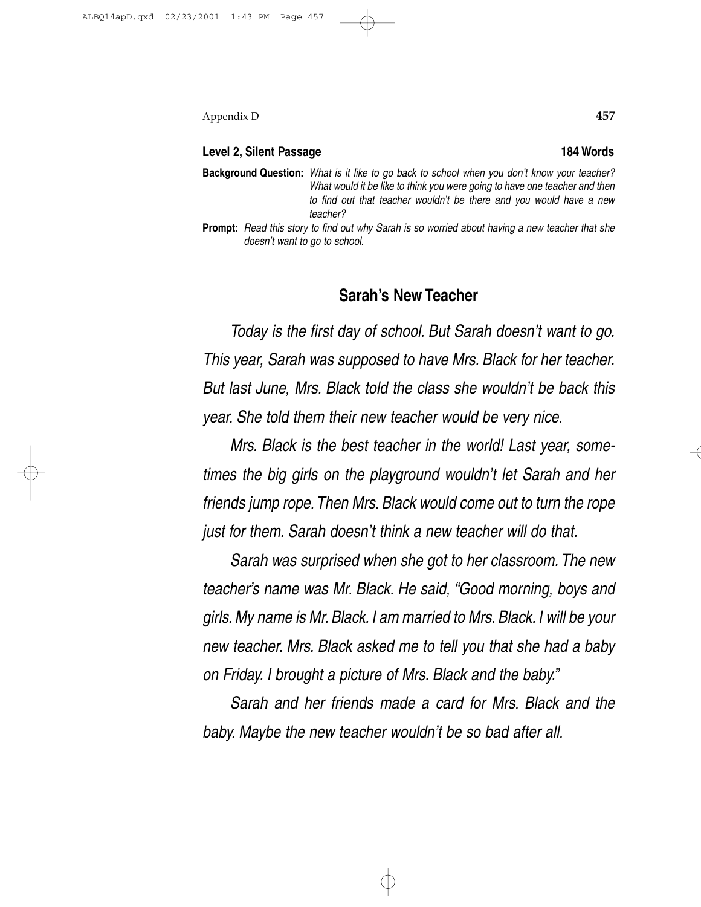### Level 2, Silent Passage 184 Words

**Background Question:** What is it like to go back to school when you don't know your teacher? What would it be like to think you were going to have one teacher and then to find out that teacher wouldn't be there and you would have a new teacher?

**Prompt:** Read this story to find out why Sarah is so worried about having a new teacher that she doesn't want to go to school.

# **Sarah's New Teacher**

Today is the first day of school. But Sarah doesn't want to go. This year, Sarah was supposed to have Mrs. Black for her teacher. But last June, Mrs. Black told the class she wouldn't be back this year. She told them their new teacher would be very nice.

Mrs. Black is the best teacher in the world! Last year, sometimes the big girls on the playground wouldn't let Sarah and her friends jump rope.Then Mrs. Black would come out to turn the rope just for them. Sarah doesn't think a new teacher will do that.

Sarah was surprised when she got to her classroom. The new teacher's name was Mr. Black. He said, "Good morning, boys and girls. My name is Mr. Black. I am married to Mrs. Black. I will be your new teacher. Mrs. Black asked me to tell you that she had a baby on Friday. I brought a picture of Mrs. Black and the baby."

Sarah and her friends made a card for Mrs. Black and the baby. Maybe the new teacher wouldn't be so bad after all.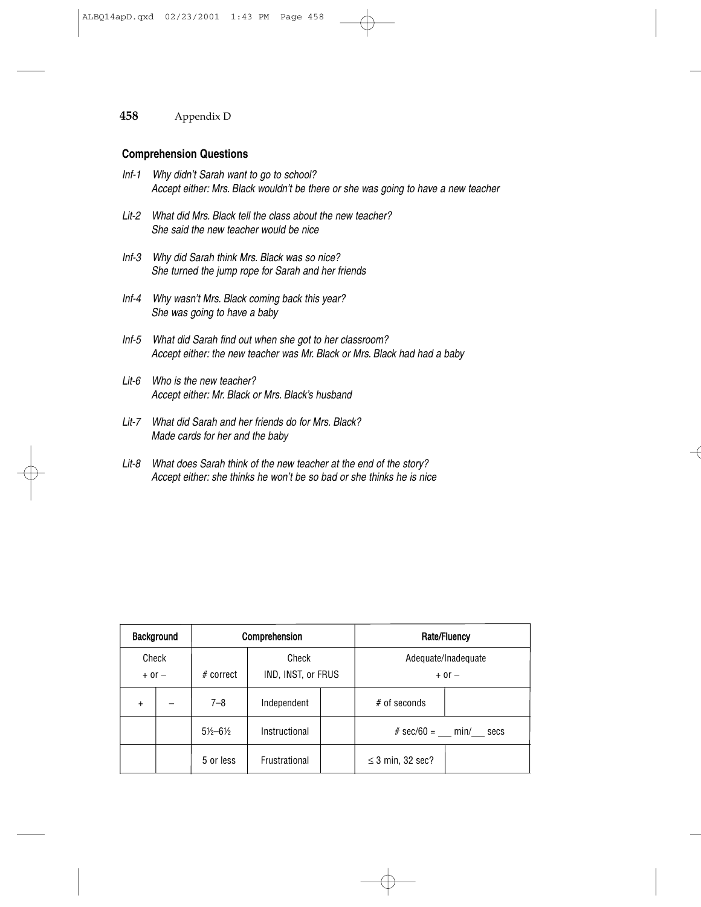- Inf-1 Why didn't Sarah want to go to school? Accept either: Mrs. Black wouldn't be there or she was going to have a new teacher
- Lit-2 What did Mrs. Black tell the class about the new teacher? She said the new teacher would be nice
- Inf-3 Why did Sarah think Mrs. Black was so nice? She turned the jump rope for Sarah and her friends
- Inf-4 Why wasn't Mrs. Black coming back this year? She was going to have a baby
- Inf-5 What did Sarah find out when she got to her classroom? Accept either: the new teacher was Mr. Black or Mrs. Black had had a baby
- Lit-6 Who is the new teacher? Accept either: Mr. Black or Mrs. Black's husband
- Lit-7 What did Sarah and her friends do for Mrs. Black? Made cards for her and the baby
- Lit-8 What does Sarah think of the new teacher at the end of the story? Accept either: she thinks he won't be so bad or she thinks he is nice

| <b>Background</b> |  |                               | Comprehension               |  | Rate/Fluency                      |                          |  |
|-------------------|--|-------------------------------|-----------------------------|--|-----------------------------------|--------------------------|--|
| Check<br>$+0r-$   |  | $#$ correct                   | Check<br>IND, INST, or FRUS |  | Adequate/Inadequate<br>$+$ or $-$ |                          |  |
| $+$               |  | $7 - 8$                       | Independent                 |  | $#$ of seconds                    |                          |  |
|                   |  | $5\frac{1}{2} - 6\frac{1}{2}$ | Instructional               |  |                                   | $# \sec/60 = \min/$ secs |  |
|                   |  | 5 or less                     | Frustrational               |  | $\leq$ 3 min, 32 sec?             |                          |  |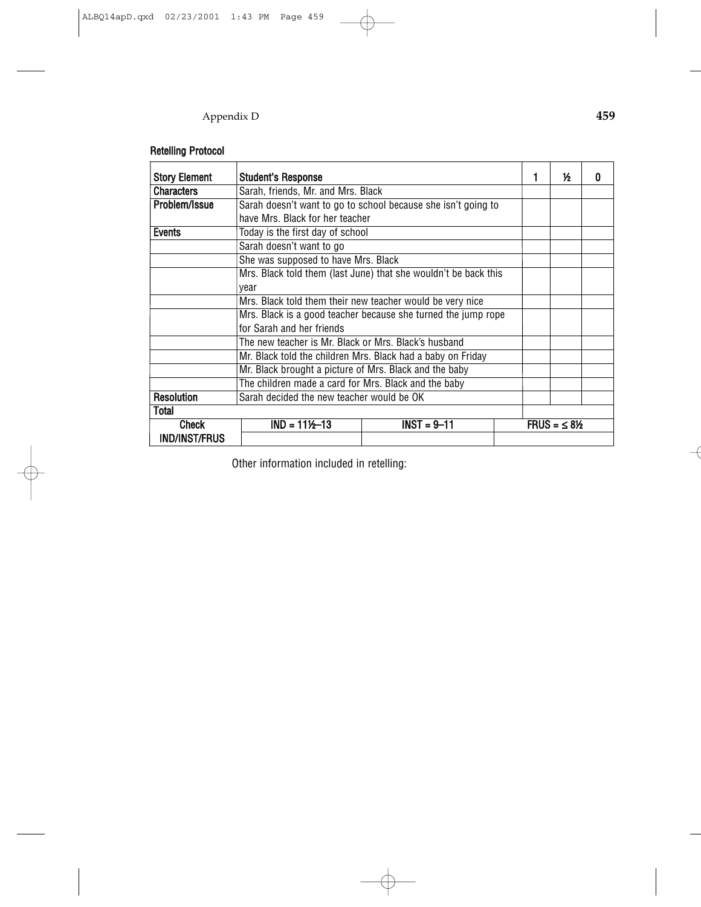Retelling Protocol

| <b>Story Element</b> | <b>Student's Response</b>                                                 |                                                               |  |  | ℅ | 0 |
|----------------------|---------------------------------------------------------------------------|---------------------------------------------------------------|--|--|---|---|
| <b>Characters</b>    | Sarah, friends, Mr. and Mrs. Black                                        |                                                               |  |  |   |   |
| Problem/Issue        |                                                                           | Sarah doesn't want to go to school because she isn't going to |  |  |   |   |
|                      | have Mrs. Black for her teacher                                           |                                                               |  |  |   |   |
| <b>Events</b>        | Today is the first day of school                                          |                                                               |  |  |   |   |
|                      | Sarah doesn't want to go                                                  |                                                               |  |  |   |   |
|                      | She was supposed to have Mrs. Black                                       |                                                               |  |  |   |   |
|                      | Mrs. Black told them (last June) that she wouldn't be back this           |                                                               |  |  |   |   |
|                      | vear                                                                      |                                                               |  |  |   |   |
|                      | Mrs. Black told them their new teacher would be very nice                 |                                                               |  |  |   |   |
|                      |                                                                           | Mrs. Black is a good teacher because she turned the jump rope |  |  |   |   |
|                      | for Sarah and her friends                                                 |                                                               |  |  |   |   |
|                      | The new teacher is Mr. Black or Mrs. Black's husband                      |                                                               |  |  |   |   |
|                      |                                                                           | Mr. Black told the children Mrs. Black had a baby on Friday   |  |  |   |   |
|                      | Mr. Black brought a picture of Mrs. Black and the baby                    |                                                               |  |  |   |   |
|                      | The children made a card for Mrs. Black and the baby                      |                                                               |  |  |   |   |
| <b>Resolution</b>    | Sarah decided the new teacher would be OK                                 |                                                               |  |  |   |   |
| Total                |                                                                           |                                                               |  |  |   |   |
| <b>Check</b>         | $IND = 11\frac{1}{2} - 13$<br>$FRUS = \leq 8\frac{1}{2}$<br>$INST = 9-11$ |                                                               |  |  |   |   |
| IND/INST/FRUS        |                                                                           |                                                               |  |  |   |   |

 $\oplus$ 

Other information included in retelling: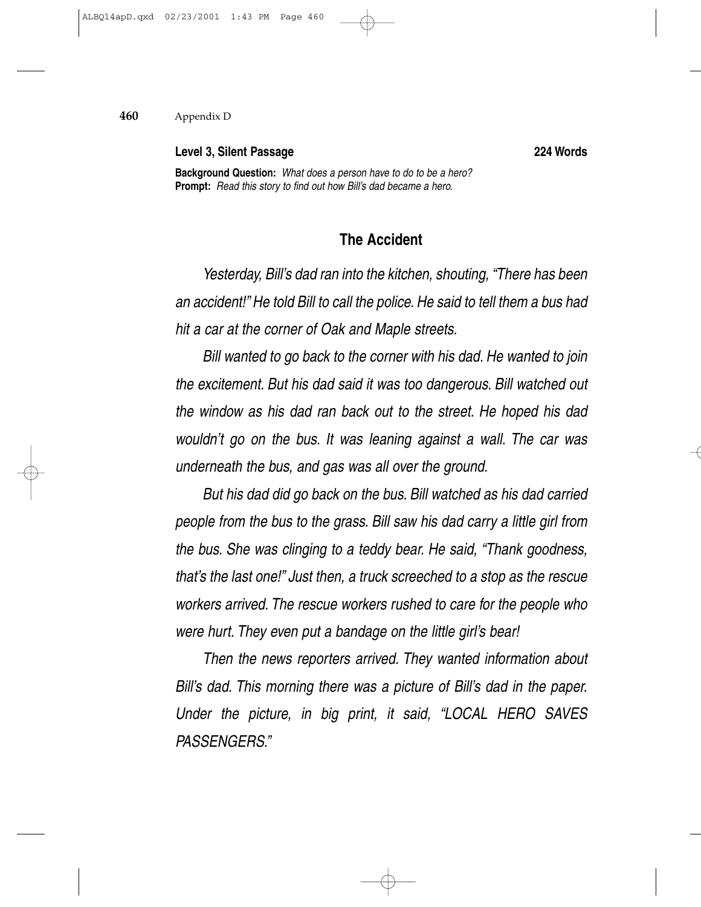**Level 3, Silent Passage 224 Words**

**Background Question:** What does a person have to do to be a hero? Prompt: Read this story to find out how Bill's dad became a hero.

# **The Accident**

Yesterday, Bill's dad ran into the kitchen, shouting, "There has been an accident!" He told Bill to call the police. He said to tell them a bus had hit a car at the corner of Oak and Maple streets.

Bill wanted to go back to the corner with his dad. He wanted to join the excitement. But his dad said it was too dangerous. Bill watched out the window as his dad ran back out to the street. He hoped his dad wouldn't go on the bus. It was leaning against a wall. The car was underneath the bus, and gas was all over the ground.

But his dad did go back on the bus. Bill watched as his dad carried people from the bus to the grass. Bill saw his dad carry a little girl from the bus. She was clinging to a teddy bear. He said, "Thank goodness, that's the last one!" Just then, a truck screeched to a stop as the rescue workers arrived. The rescue workers rushed to care for the people who were hurt. They even put a bandage on the little girl's bear!

Then the news reporters arrived. They wanted information about Bill's dad. This morning there was a picture of Bill's dad in the paper. Under the picture, in big print, it said, "LOCAL HERO SAVES PASSENGERS."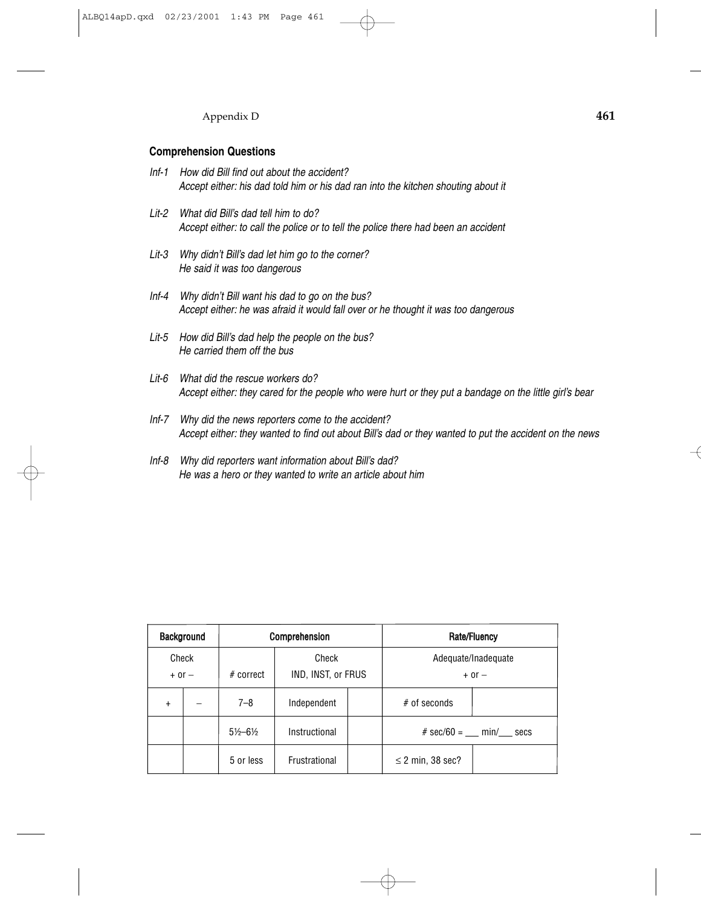- Inf-1 How did Bill find out about the accident? Accept either: his dad told him or his dad ran into the kitchen shouting about it
- Lit-2 What did Bill's dad tell him to do? Accept either: to call the police or to tell the police there had been an accident
- Lit-3 Why didn't Bill's dad let him go to the corner? He said it was too dangerous
- Inf-4 Why didn't Bill want his dad to go on the bus? Accept either: he was afraid it would fall over or he thought it was too dangerous
- Lit-5 How did Bill's dad help the people on the bus? He carried them off the bus
- Lit-6 What did the rescue workers do? Accept either: they cared for the people who were hurt or they put a bandage on the little girl's bear
- Inf-7 Why did the news reporters come to the accident? Accept either: they wanted to find out about Bill's dad or they wanted to put the accident on the news
- Inf-8 Why did reporters want information about Bill's dad? He was a hero or they wanted to write an article about him

| <b>Background</b> |  |                               | Comprehension               |  | Rate/Fluency                      |                                  |  |
|-------------------|--|-------------------------------|-----------------------------|--|-----------------------------------|----------------------------------|--|
| Check<br>$+0r-$   |  | $#$ correct                   | Check<br>IND, INST, or FRUS |  | Adequate/Inadequate<br>$+$ or $-$ |                                  |  |
| $+$               |  | $7 - 8$                       | Independent                 |  | $#$ of seconds                    |                                  |  |
|                   |  | $5\frac{1}{2} - 6\frac{1}{2}$ | Instructional               |  |                                   | $# \sec/60 = \text{min/} \sec s$ |  |
|                   |  | 5 or less                     | Frustrational               |  | $\leq$ 2 min, 38 sec?             |                                  |  |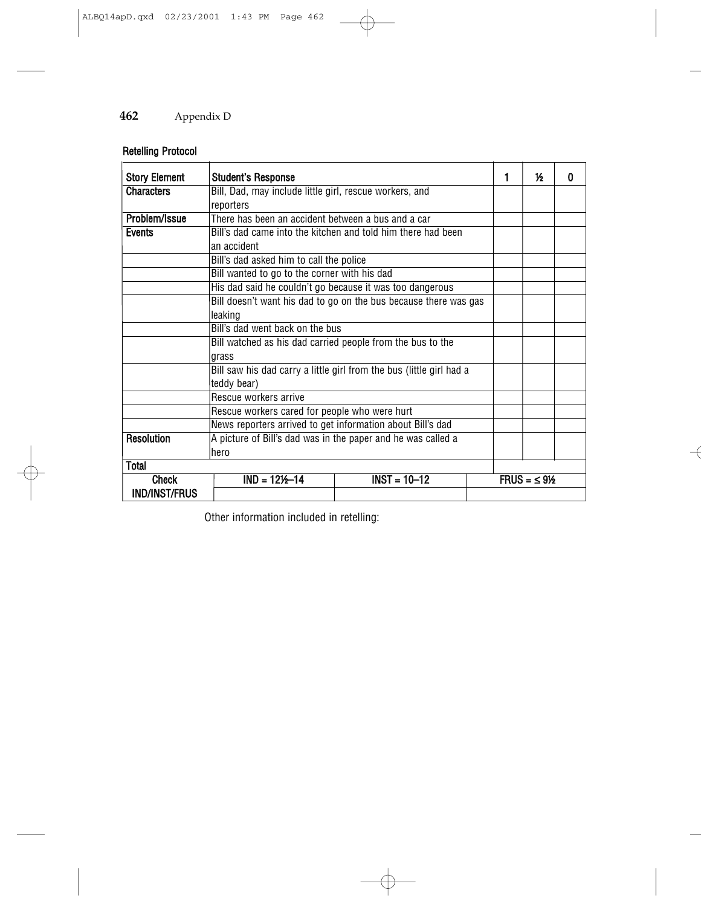# Retelling Protocol

| <b>Story Element</b> | <b>Student's Response</b>                                        |                                                                      |  | ℅ | o                                           |  |  |  |
|----------------------|------------------------------------------------------------------|----------------------------------------------------------------------|--|---|---------------------------------------------|--|--|--|
| <b>Characters</b>    | Bill, Dad, may include little girl, rescue workers, and          |                                                                      |  |   |                                             |  |  |  |
|                      | reporters                                                        |                                                                      |  |   |                                             |  |  |  |
| Problem/Issue        |                                                                  | There has been an accident between a bus and a car                   |  |   |                                             |  |  |  |
| <b>Events</b>        |                                                                  | Bill's dad came into the kitchen and told him there had been         |  |   |                                             |  |  |  |
|                      | an accident                                                      |                                                                      |  |   |                                             |  |  |  |
|                      | Bill's dad asked him to call the police                          |                                                                      |  |   |                                             |  |  |  |
|                      |                                                                  | Bill wanted to go to the corner with his dad                         |  |   |                                             |  |  |  |
|                      | His dad said he couldn't go because it was too dangerous         |                                                                      |  |   |                                             |  |  |  |
|                      | Bill doesn't want his dad to go on the bus because there was gas |                                                                      |  |   |                                             |  |  |  |
|                      | leaking                                                          |                                                                      |  |   |                                             |  |  |  |
|                      | Bill's dad went back on the bus                                  |                                                                      |  |   |                                             |  |  |  |
|                      | Bill watched as his dad carried people from the bus to the       |                                                                      |  |   |                                             |  |  |  |
|                      | grass                                                            |                                                                      |  |   |                                             |  |  |  |
|                      |                                                                  | Bill saw his dad carry a little girl from the bus (little girl had a |  |   |                                             |  |  |  |
|                      | teddy bear)                                                      |                                                                      |  |   |                                             |  |  |  |
|                      | Rescue workers arrive                                            |                                                                      |  |   |                                             |  |  |  |
|                      | Rescue workers cared for people who were hurt                    |                                                                      |  |   |                                             |  |  |  |
|                      | News reporters arrived to get information about Bill's dad       |                                                                      |  |   |                                             |  |  |  |
| <b>Resolution</b>    | A picture of Bill's dad was in the paper and he was called a     |                                                                      |  |   |                                             |  |  |  |
|                      | lhero                                                            |                                                                      |  |   |                                             |  |  |  |
| <b>Total</b>         |                                                                  |                                                                      |  |   |                                             |  |  |  |
| <b>Check</b>         | IND = 12½–14                                                     | $INST = 10 - 12$                                                     |  |   | FRUS = $\leq$ 9 <sup>1</sup> / <sub>2</sub> |  |  |  |
| IND/INST/FRUS        |                                                                  |                                                                      |  |   |                                             |  |  |  |

 $\oplus$ 

 $\bigoplus$ 

Other information included in retelling: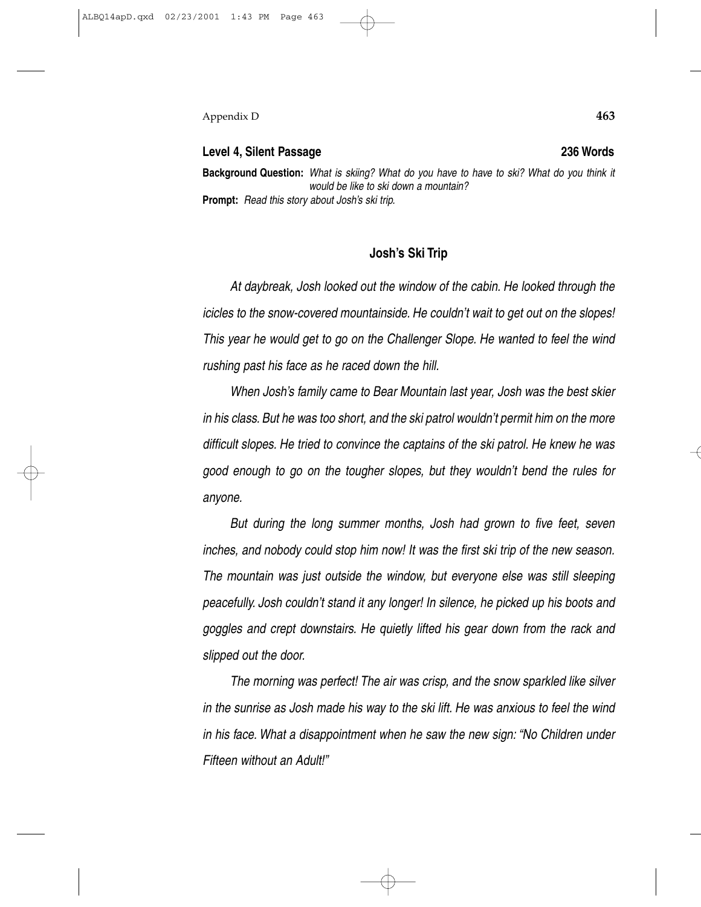**Level 4, Silent Passage 236 Words**

**Background Question:** What is skiing? What do you have to have to ski? What do you think it would be like to ski down a mountain? **Prompt:** Read this story about Josh's ski trip.

# **Josh's Ski Trip**

At daybreak, Josh looked out the window of the cabin. He looked through the icicles to the snow-covered mountainside. He couldn't wait to get out on the slopes! This year he would get to go on the Challenger Slope. He wanted to feel the wind rushing past his face as he raced down the hill.

When Josh's family came to Bear Mountain last year, Josh was the best skier in his class. But he was too short, and the ski patrol wouldn't permit him on the more difficult slopes. He tried to convince the captains of the ski patrol. He knew he was good enough to go on the tougher slopes, but they wouldn't bend the rules for anyone.

But during the long summer months, Josh had grown to five feet, seven inches, and nobody could stop him now! It was the first ski trip of the new season. The mountain was just outside the window, but everyone else was still sleeping peacefully. Josh couldn't stand it any longer! In silence, he picked up his boots and goggles and crept downstairs. He quietly lifted his gear down from the rack and slipped out the door.

The morning was perfect! The air was crisp, and the snow sparkled like silver in the sunrise as Josh made his way to the ski lift. He was anxious to feel the wind in his face. What a disappointment when he saw the new sign: "No Children under Fifteen without an Adult!"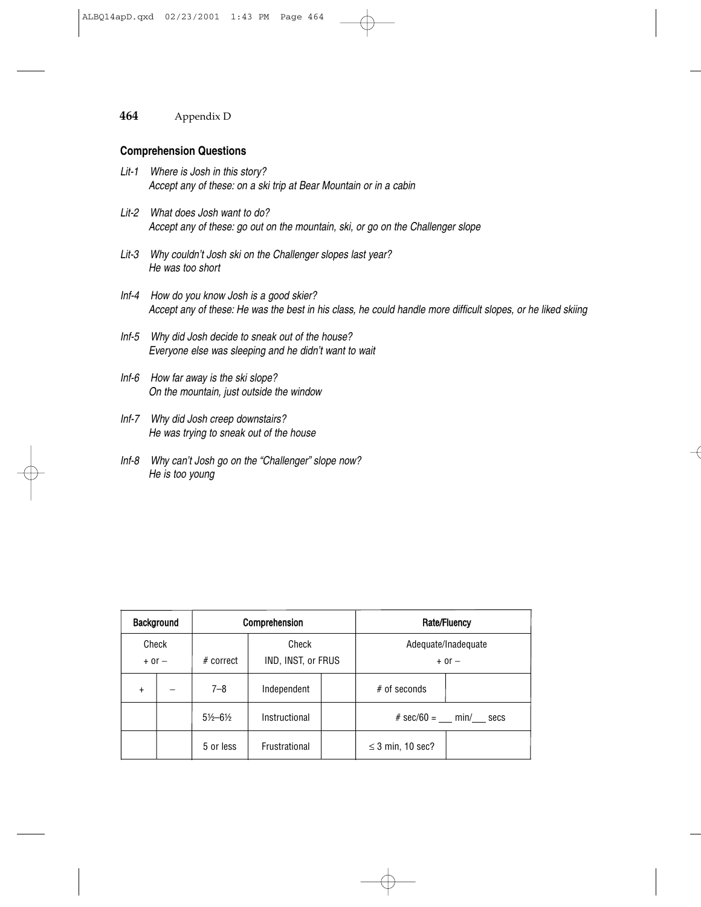- Lit-1 Where is Josh in this story? Accept any of these: on a ski trip at Bear Mountain or in a cabin
- Lit-2 What does Josh want to do? Accept any of these: go out on the mountain, ski, or go on the Challenger slope
- Lit-3 Why couldn't Josh ski on the Challenger slopes last year? He was too short
- Inf-4 How do you know Josh is a good skier? Accept any of these: He was the best in his class, he could handle more difficult slopes, or he liked skiing
- Inf-5 Why did Josh decide to sneak out of the house? Everyone else was sleeping and he didn't want to wait
- Inf-6 How far away is the ski slope? On the mountain, just outside the window
- Inf-7 Why did Josh creep downstairs? He was trying to sneak out of the house
- Inf-8 Why can't Josh go on the "Challenger" slope now? He is too young

|           | <b>Background</b><br>Comprehension |                               | Rate/Fluency                |  |                                   |  |
|-----------|------------------------------------|-------------------------------|-----------------------------|--|-----------------------------------|--|
| $+0r-$    | Check                              | $#$ correct                   | Check<br>IND, INST, or FRUS |  | Adequate/Inadequate<br>$+$ or $-$ |  |
| $\ddot{}$ |                                    | $7 - 8$                       | Independent                 |  | $#$ of seconds                    |  |
|           |                                    | $5\frac{1}{2} - 6\frac{1}{2}$ | Instructional               |  | $# \sec/60 =$ min/ secs           |  |
|           |                                    | 5 or less                     | Frustrational               |  | $\leq$ 3 min, 10 sec?             |  |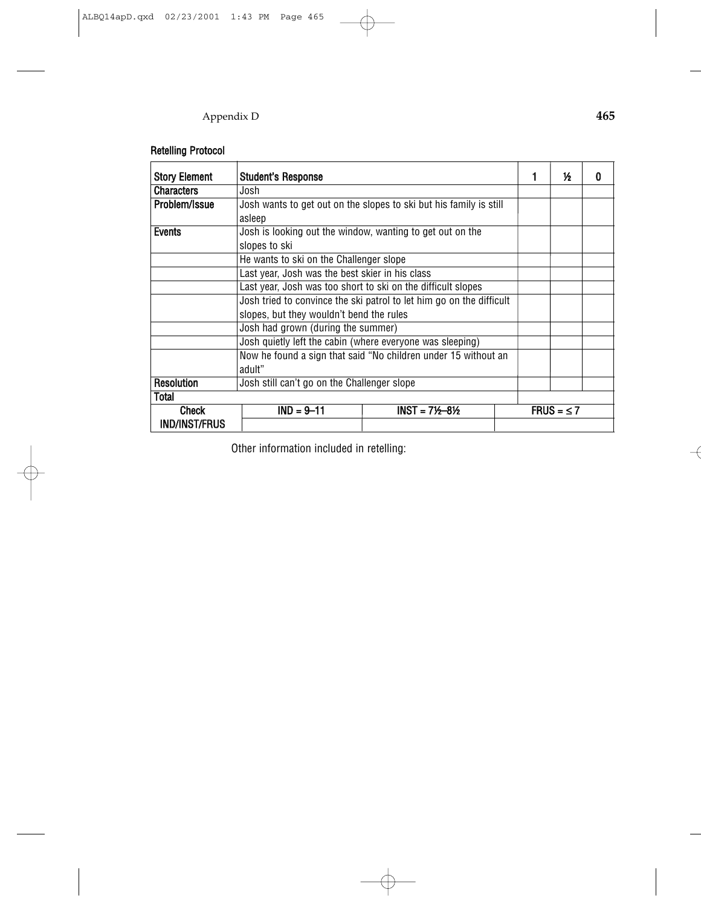# Retelling Protocol

| <b>Story Element</b> | <b>Student's Response</b>                                            |                                                                    |  |  | ⅓           | 0 |  |  |
|----------------------|----------------------------------------------------------------------|--------------------------------------------------------------------|--|--|-------------|---|--|--|
| <b>Characters</b>    | Josh                                                                 |                                                                    |  |  |             |   |  |  |
| Problem/Issue        |                                                                      | Josh wants to get out on the slopes to ski but his family is still |  |  |             |   |  |  |
|                      | asleep                                                               |                                                                    |  |  |             |   |  |  |
| <b>Events</b>        | Josh is looking out the window, wanting to get out on the            |                                                                    |  |  |             |   |  |  |
|                      | slopes to ski                                                        |                                                                    |  |  |             |   |  |  |
|                      | He wants to ski on the Challenger slope                              |                                                                    |  |  |             |   |  |  |
|                      | Last year, Josh was the best skier in his class                      |                                                                    |  |  |             |   |  |  |
|                      | Last year, Josh was too short to ski on the difficult slopes         |                                                                    |  |  |             |   |  |  |
|                      | Josh tried to convince the ski patrol to let him go on the difficult |                                                                    |  |  |             |   |  |  |
|                      | slopes, but they wouldn't bend the rules                             |                                                                    |  |  |             |   |  |  |
|                      | Josh had grown (during the summer)                                   |                                                                    |  |  |             |   |  |  |
|                      | Josh quietly left the cabin (where everyone was sleeping)            |                                                                    |  |  |             |   |  |  |
|                      |                                                                      | Now he found a sign that said "No children under 15 without an     |  |  |             |   |  |  |
|                      | adult"                                                               |                                                                    |  |  |             |   |  |  |
| <b>Resolution</b>    |                                                                      | Josh still can't go on the Challenger slope                        |  |  |             |   |  |  |
| Total                |                                                                      |                                                                    |  |  |             |   |  |  |
| Check                | $IND = 9 - 11$                                                       | $INST = 7\frac{1}{2} - 8\frac{1}{2}$                               |  |  | $FRUS = 57$ |   |  |  |
| <b>IND/INST/FRUS</b> |                                                                      |                                                                    |  |  |             |   |  |  |

 $\oplus$ 

Other information included in retelling: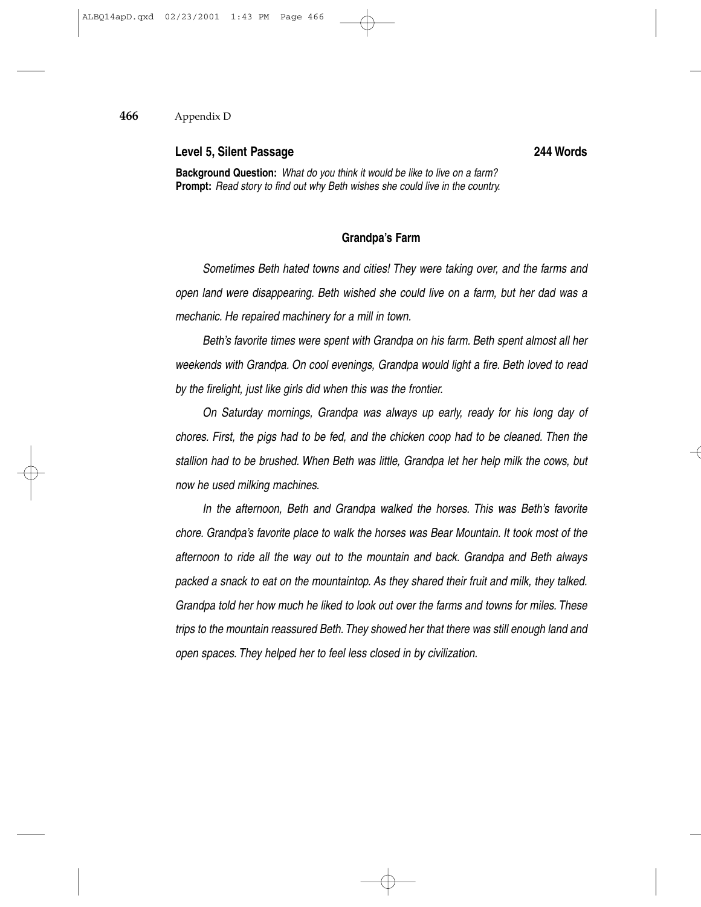# **Level 5, Silent Passage 244 Words**

**Background Question:** What do you think it would be like to live on a farm? **Prompt:** Read story to find out why Beth wishes she could live in the country.

### **Grandpa's Farm**

Sometimes Beth hated towns and cities! They were taking over, and the farms and open land were disappearing. Beth wished she could live on a farm, but her dad was a mechanic. He repaired machinery for a mill in town.

Beth's favorite times were spent with Grandpa on his farm. Beth spent almost all her weekends with Grandpa. On cool evenings, Grandpa would light a fire. Beth loved to read by the firelight, just like girls did when this was the frontier.

On Saturday mornings, Grandpa was always up early, ready for his long day of chores. First, the pigs had to be fed, and the chicken coop had to be cleaned. Then the stallion had to be brushed. When Beth was little, Grandpa let her help milk the cows, but now he used milking machines.

In the afternoon, Beth and Grandpa walked the horses. This was Beth's favorite chore. Grandpa's favorite place to walk the horses was Bear Mountain. It took most of the afternoon to ride all the way out to the mountain and back. Grandpa and Beth always packed a snack to eat on the mountaintop. As they shared their fruit and milk, they talked. Grandpa told her how much he liked to look out over the farms and towns for miles. These trips to the mountain reassured Beth. They showed her that there was still enough land and open spaces. They helped her to feel less closed in by civilization.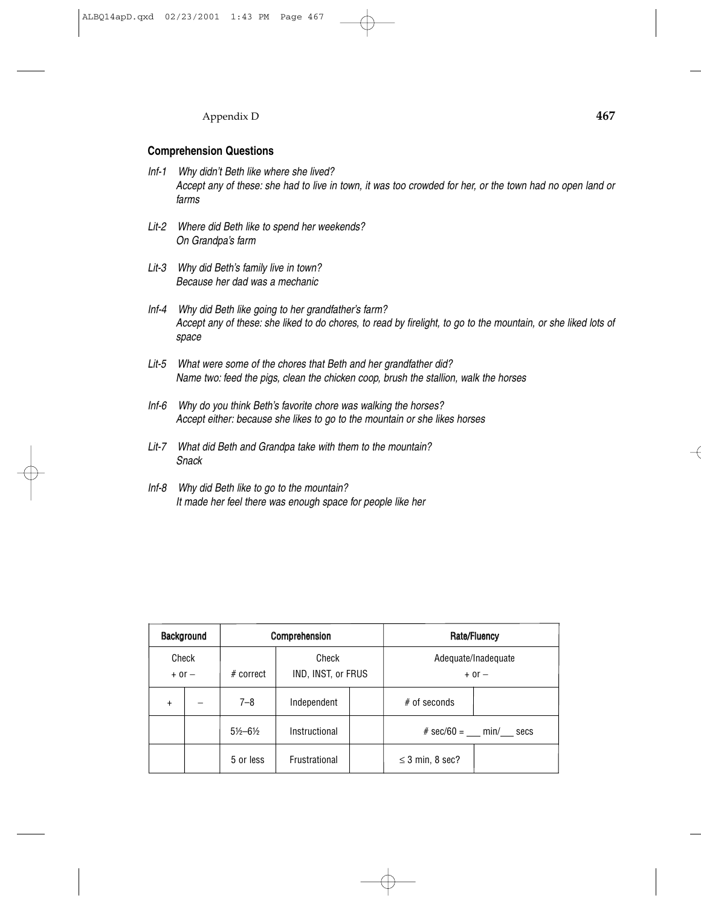- Inf-1 Why didn't Beth like where she lived? Accept any of these: she had to live in town, it was too crowded for her, or the town had no open land or farms
- Lit-2 Where did Beth like to spend her weekends? On Grandpa's farm
- Lit-3 Why did Beth's family live in town? Because her dad was a mechanic
- Inf-4 Why did Beth like going to her grandfather's farm? Accept any of these: she liked to do chores, to read by firelight, to go to the mountain, or she liked lots of space
- Lit-5 What were some of the chores that Beth and her grandfather did? Name two: feed the pigs, clean the chicken coop, brush the stallion, walk the horses
- Inf-6 Why do you think Beth's favorite chore was walking the horses? Accept either: because she likes to go to the mountain or she likes horses
- Lit-7 What did Beth and Grandpa take with them to the mountain? **Snack**
- Inf-8 Why did Beth like to go to the mountain? It made her feel there was enough space for people like her

| <b>Background</b><br>Comprehension |       | Rate/Fluency                  |                             |  |                                   |  |  |
|------------------------------------|-------|-------------------------------|-----------------------------|--|-----------------------------------|--|--|
| $+$ or $-$                         | Check | $#$ correct                   | Check<br>IND, INST, or FRUS |  | Adequate/Inadequate<br>$+$ or $-$ |  |  |
| $+$                                |       | $7 - 8$                       | Independent                 |  | $#$ of seconds                    |  |  |
|                                    |       | $5\frac{1}{2} - 6\frac{1}{2}$ | Instructional               |  | $# \sec/60 = \text{min/} \sec s$  |  |  |
|                                    |       | 5 or less                     | Frustrational               |  | $\leq$ 3 min, 8 sec?              |  |  |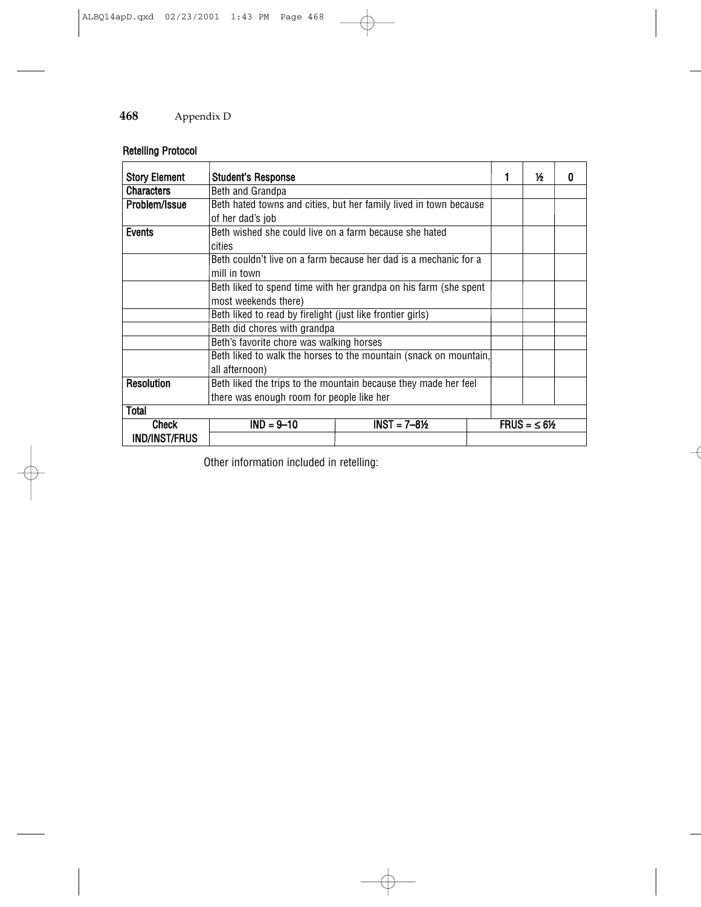# Retelling Protocol

| <b>Story Element</b> | <b>Student's Response</b>                                        |                                                                   | 1⁄2 |              |  |
|----------------------|------------------------------------------------------------------|-------------------------------------------------------------------|-----|--------------|--|
| <b>Characters</b>    | Beth and Grandpa                                                 |                                                                   |     |              |  |
| Problem/Issue        |                                                                  | Beth hated towns and cities, but her family lived in town because |     |              |  |
|                      | of her dad's job                                                 |                                                                   |     |              |  |
| <b>Events</b>        | Beth wished she could live on a farm because she hated           |                                                                   |     |              |  |
|                      | cities                                                           |                                                                   |     |              |  |
|                      |                                                                  | Beth couldn't live on a farm because her dad is a mechanic for a  |     |              |  |
|                      | mill in town                                                     |                                                                   |     |              |  |
|                      | Beth liked to spend time with her grandpa on his farm (she spent |                                                                   |     |              |  |
|                      | most weekends there)                                             |                                                                   |     |              |  |
|                      | Beth liked to read by firelight (just like frontier girls)       |                                                                   |     |              |  |
|                      | Beth did chores with grandpa                                     |                                                                   |     |              |  |
|                      | Beth's favorite chore was walking horses                         |                                                                   |     |              |  |
|                      |                                                                  | Beth liked to walk the horses to the mountain (snack on mountain, |     |              |  |
|                      | all afternoon)                                                   |                                                                   |     |              |  |
| Resolution           |                                                                  | Beth liked the trips to the mountain because they made her feel   |     |              |  |
|                      | there was enough room for people like her                        |                                                                   |     |              |  |
| Total                |                                                                  |                                                                   |     |              |  |
| <b>Check</b>         | $IND = 9 - 10$                                                   | $INST = 7 - 8\%$                                                  |     | $FRUS = 6\%$ |  |
| <b>IND/INST/FRUS</b> |                                                                  |                                                                   |     |              |  |

 $\oplus$ 

 $\bigoplus$ 

Other information included in retelling: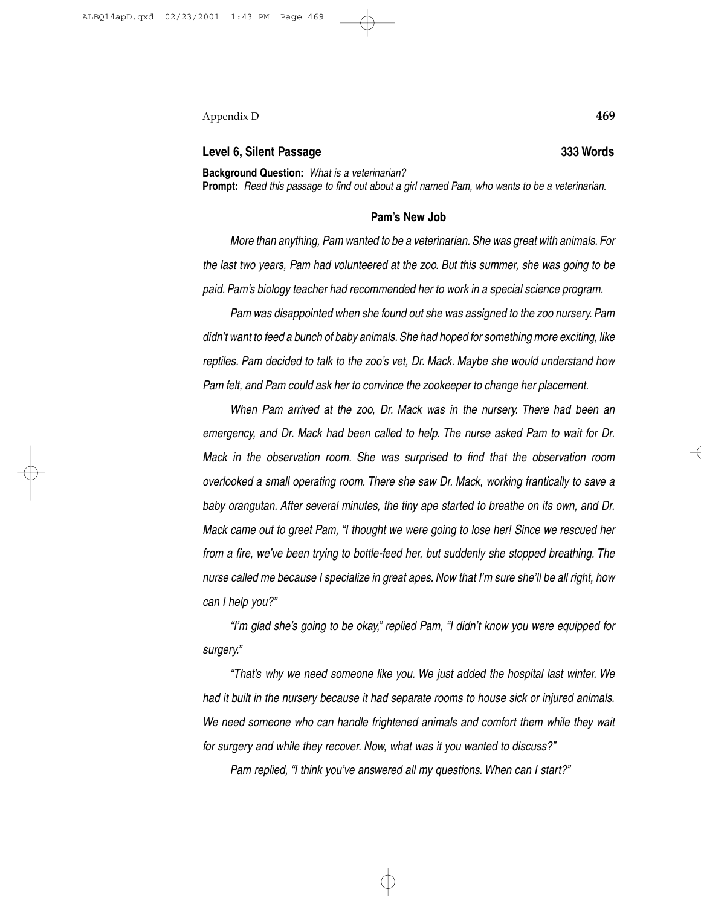## Level 6, Silent Passage **333 Words**

**Background Question:** What is a veterinarian? **Prompt:** Read this passage to find out about a girl named Pam, who wants to be a veterinarian.

#### **Pam's New Job**

More than anything, Pam wanted to be a veterinarian. She was great with animals. For the last two years, Pam had volunteered at the zoo. But this summer, she was going to be paid. Pam's biology teacher had recommended her to work in a special science program.

Pam was disappointed when she found out she was assigned to the zoo nursery. Pam didn't want to feed a bunch of baby animals. She had hoped for something more exciting, like reptiles. Pam decided to talk to the zoo's vet, Dr. Mack. Maybe she would understand how Pam felt, and Pam could ask her to convince the zookeeper to change her placement.

When Pam arrived at the zoo, Dr. Mack was in the nursery. There had been an emergency, and Dr. Mack had been called to help. The nurse asked Pam to wait for Dr. Mack in the observation room. She was surprised to find that the observation room overlooked a small operating room. There she saw Dr. Mack, working frantically to save a baby orangutan. After several minutes, the tiny ape started to breathe on its own, and Dr. Mack came out to greet Pam, "I thought we were going to lose her! Since we rescued her from a fire, we've been trying to bottle-feed her, but suddenly she stopped breathing. The nurse called me because I specialize in great apes. Now that I'm sure she'll be all right, how can I help you?"

"I'm glad she's going to be okay," replied Pam, "I didn't know you were equipped for surgery."

"That's why we need someone like you. We just added the hospital last winter. We had it built in the nursery because it had separate rooms to house sick or injured animals. We need someone who can handle frightened animals and comfort them while they wait for surgery and while they recover. Now, what was it you wanted to discuss?"

Pam replied, "I think you've answered all my questions. When can I start?"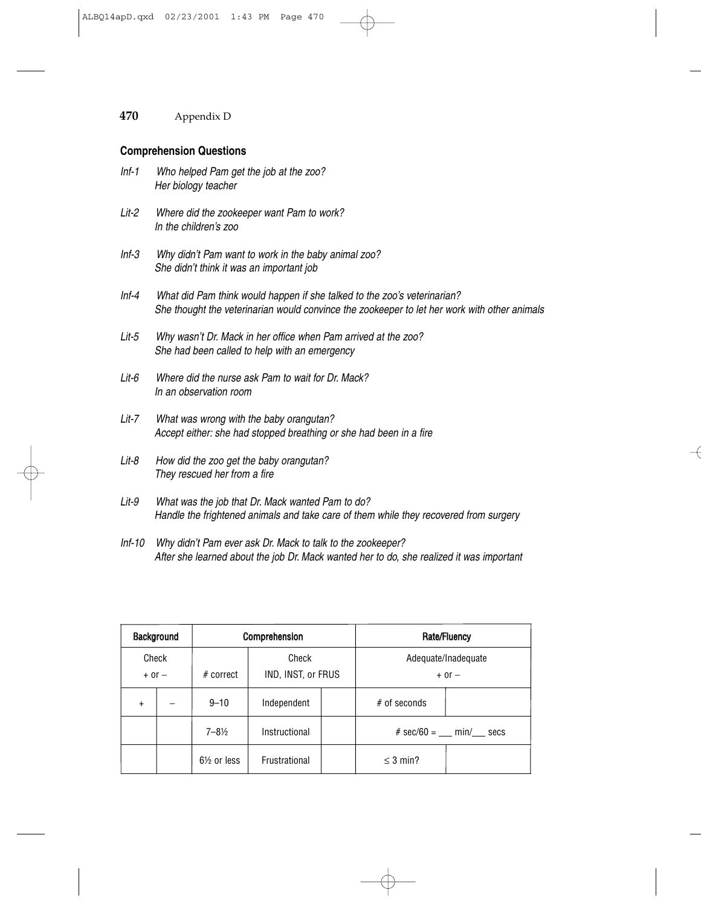- Inf-1 Who helped Pam get the job at the zoo? Her biology teacher
- Lit-2 Where did the zookeeper want Pam to work? In the children's zoo
- Inf-3 Why didn't Pam want to work in the baby animal zoo? She didn't think it was an important job
- Inf-4 What did Pam think would happen if she talked to the zoo's veterinarian? She thought the veterinarian would convince the zookeeper to let her work with other animals
- Lit-5 Why wasn't Dr. Mack in her office when Pam arrived at the zoo? She had been called to help with an emergency
- Lit-6 Where did the nurse ask Pam to wait for Dr. Mack? In an observation room
- Lit-7 What was wrong with the baby orangutan? Accept either: she had stopped breathing or she had been in a fire
- Lit-8 How did the zoo get the baby orangutan? They rescued her from a fire
- Lit-9 What was the job that Dr. Mack wanted Pam to do? Handle the frightened animals and take care of them while they recovered from surgery
- Inf-10 Why didn't Pam ever ask Dr. Mack to talk to the zookeeper? After she learned about the job Dr. Mack wanted her to do, she realized it was important

| <b>Background</b><br>Comprehension |       |                    | Rate/Fluency                |  |                                   |  |  |
|------------------------------------|-------|--------------------|-----------------------------|--|-----------------------------------|--|--|
| $+0r-$                             | Check | $#$ correct        | Check<br>IND, INST, or FRUS |  | Adequate/Inadequate<br>$+$ or $-$ |  |  |
| $+$                                |       | $9 - 10$           | Independent                 |  | $#$ of seconds                    |  |  |
|                                    |       | $7 - 8\frac{1}{2}$ | Instructional               |  | $# \sec/60 =$ min/ secs           |  |  |
|                                    |       | $6\%$ or less      | Frustrational               |  | $\leq$ 3 min?                     |  |  |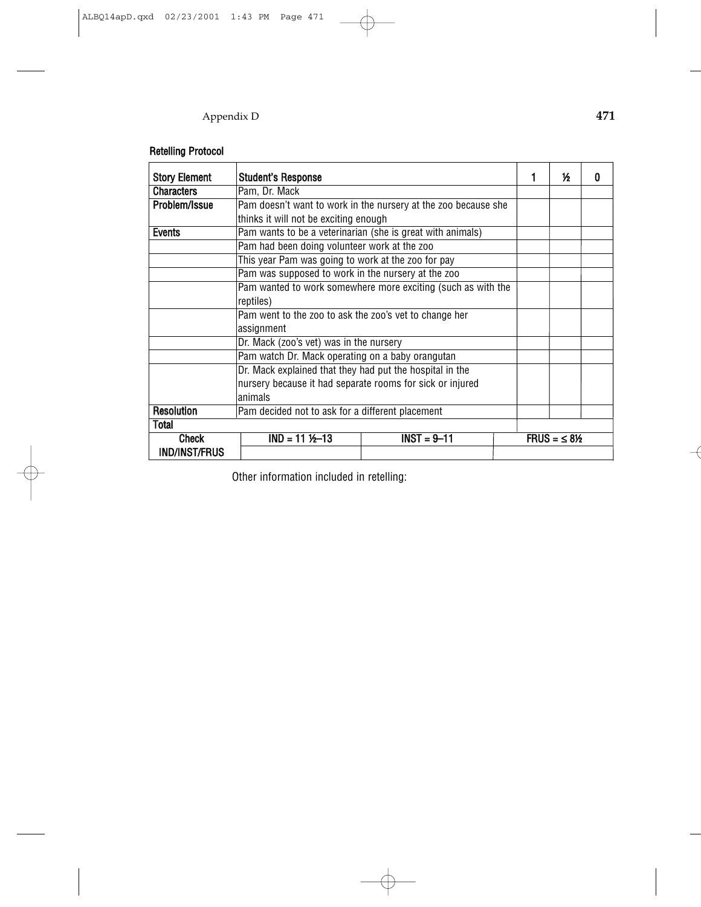# Retelling Protocol

| <b>Story Element</b> | <b>Student's Response</b>                                  |                                                                |  | ℅                 | o |
|----------------------|------------------------------------------------------------|----------------------------------------------------------------|--|-------------------|---|
| <b>Characters</b>    | Pam, Dr. Mack                                              |                                                                |  |                   |   |
| Problem/Issue        |                                                            | Pam doesn't want to work in the nursery at the zoo because she |  |                   |   |
|                      | thinks it will not be exciting enough                      |                                                                |  |                   |   |
| <b>Events</b>        | Pam wants to be a veterinarian (she is great with animals) |                                                                |  |                   |   |
|                      | Pam had been doing volunteer work at the zoo               |                                                                |  |                   |   |
|                      | This year Pam was going to work at the zoo for pay         |                                                                |  |                   |   |
|                      | Pam was supposed to work in the nursery at the zoo         |                                                                |  |                   |   |
|                      |                                                            | Pam wanted to work somewhere more exciting (such as with the   |  |                   |   |
|                      | reptiles)                                                  |                                                                |  |                   |   |
|                      | Pam went to the zoo to ask the zoo's vet to change her     |                                                                |  |                   |   |
|                      | assignment                                                 |                                                                |  |                   |   |
|                      | Dr. Mack (zoo's vet) was in the nursery                    |                                                                |  |                   |   |
|                      | Pam watch Dr. Mack operating on a baby orangutan           |                                                                |  |                   |   |
|                      | Dr. Mack explained that they had put the hospital in the   |                                                                |  |                   |   |
|                      | nursery because it had separate rooms for sick or injured  |                                                                |  |                   |   |
|                      | animals                                                    |                                                                |  |                   |   |
| <b>Resolution</b>    | Pam decided not to ask for a different placement           |                                                                |  |                   |   |
| Total                |                                                            |                                                                |  |                   |   |
| <b>Check</b>         | $IND = 11$ $1/2 - 13$                                      | $INST = 9 - 11$                                                |  | $FRUS = \leq 8\%$ |   |
| IND/INST/FRUS        |                                                            |                                                                |  |                   |   |

 $\oplus$ 

Other information included in retelling: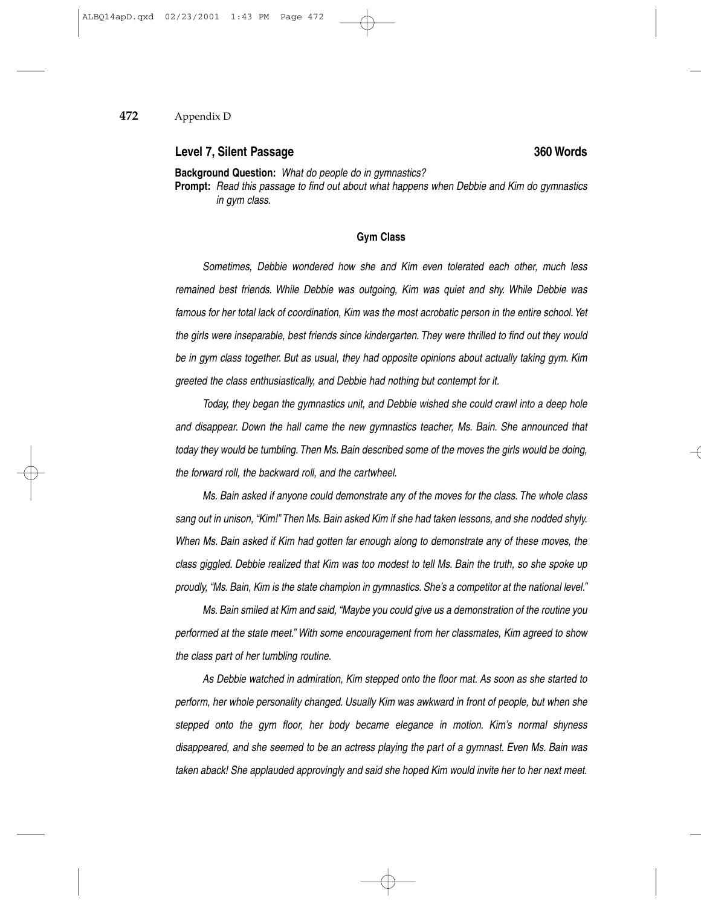# Level 7, Silent Passage 360 Words

**Background Question:** What do people do in gymnastics? **Prompt:** Read this passage to find out about what happens when Debbie and Kim do gymnastics

in gym class.

### **Gym Class**

Sometimes, Debbie wondered how she and Kim even tolerated each other, much less remained best friends. While Debbie was outgoing, Kim was quiet and shy. While Debbie was famous for her total lack of coordination, Kim was the most acrobatic person in the entire school. Yet the girls were inseparable, best friends since kindergarten. They were thrilled to find out they would be in gym class together. But as usual, they had opposite opinions about actually taking gym. Kim greeted the class enthusiastically, and Debbie had nothing but contempt for it.

Today, they began the gymnastics unit, and Debbie wished she could crawl into a deep hole and disappear. Down the hall came the new gymnastics teacher, Ms. Bain. She announced that today they would be tumbling. Then Ms. Bain described some of the moves the girls would be doing, the forward roll, the backward roll, and the cartwheel.

Ms. Bain asked if anyone could demonstrate any of the moves for the class. The whole class sang out in unison, "Kim!" Then Ms. Bain asked Kim if she had taken lessons, and she nodded shyly. When Ms. Bain asked if Kim had gotten far enough along to demonstrate any of these moves, the class giggled. Debbie realized that Kim was too modest to tell Ms. Bain the truth, so she spoke up proudly, "Ms. Bain, Kim is the state champion in gymnastics. She's a competitor at the national level."

Ms. Bain smiled at Kim and said, "Maybe you could give us a demonstration of the routine you performed at the state meet." With some encouragement from her classmates, Kim agreed to show the class part of her tumbling routine.

As Debbie watched in admiration, Kim stepped onto the floor mat. As soon as she started to perform, her whole personality changed. Usually Kim was awkward in front of people, but when she stepped onto the gym floor, her body became elegance in motion. Kim's normal shyness disappeared, and she seemed to be an actress playing the part of a gymnast. Even Ms. Bain was taken aback! She applauded approvingly and said she hoped Kim would invite her to her next meet.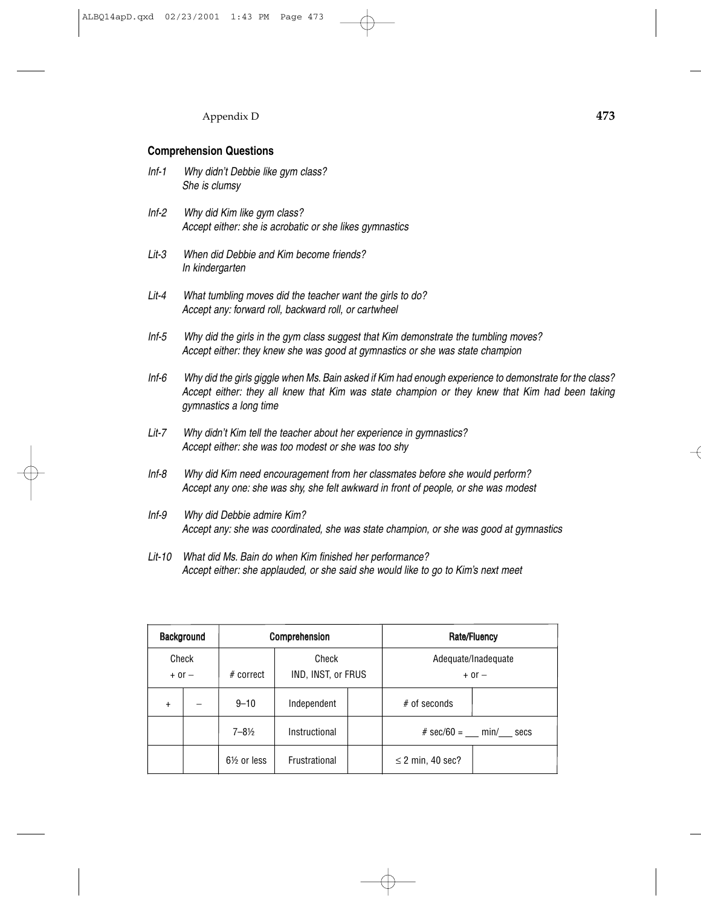- Inf-1 Why didn't Debbie like gym class? She is clumsy
- Inf-2 Why did Kim like gym class? Accept either: she is acrobatic or she likes gymnastics
- Lit-3 When did Debbie and Kim become friends? In kindergarten
- Lit-4 What tumbling moves did the teacher want the girls to do? Accept any: forward roll, backward roll, or cartwheel
- Inf-5 Why did the girls in the gym class suggest that Kim demonstrate the tumbling moves? Accept either: they knew she was good at gymnastics or she was state champion
- Inf-6 Why did the girls giggle when Ms. Bain asked if Kim had enough experience to demonstrate for the class? Accept either: they all knew that Kim was state champion or they knew that Kim had been taking gymnastics a long time
- Lit-7 Why didn't Kim tell the teacher about her experience in gymnastics? Accept either: she was too modest or she was too shy
- Inf-8 Why did Kim need encouragement from her classmates before she would perform? Accept any one: she was shy, she felt awkward in front of people, or she was modest
- Inf-9 Why did Debbie admire Kim? Accept any: she was coordinated, she was state champion, or she was good at gymnastics
- Lit-10 What did Ms. Bain do when Kim finished her performance? Accept either: she applauded, or she said she would like to go to Kim's next meet

| <b>Background</b><br>Comprehension |  |                    | Rate/Fluency                |  |                                   |  |  |
|------------------------------------|--|--------------------|-----------------------------|--|-----------------------------------|--|--|
| Check<br>$+$ or $-$                |  | $#$ correct        | Check<br>IND, INST, or FRUS |  | Adequate/Inadequate<br>$+$ or $-$ |  |  |
| $+$                                |  | $9 - 10$           | Independent                 |  | $#$ of seconds                    |  |  |
|                                    |  | $7 - 8\frac{1}{2}$ | Instructional               |  | $# \sec/60 = \text{min/} \sec s$  |  |  |
|                                    |  | $6\%$ or less      | Frustrational               |  | $\leq$ 2 min, 40 sec?             |  |  |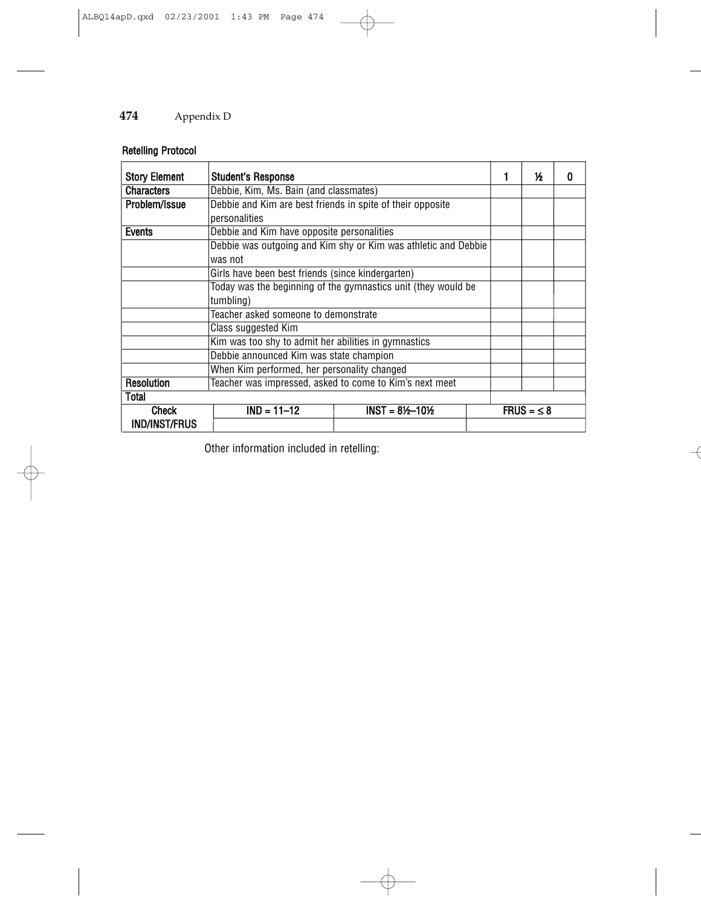# Retelling Protocol

| <b>Story Element</b> | <b>Student's Response</b>                                      |                                                         | ℅ | o               |  |
|----------------------|----------------------------------------------------------------|---------------------------------------------------------|---|-----------------|--|
|                      |                                                                |                                                         |   |                 |  |
| <b>Characters</b>    | Debbie, Kim, Ms. Bain (and classmates)                         |                                                         |   |                 |  |
| Problem/Issue        | Debbie and Kim are best friends in spite of their opposite     |                                                         |   |                 |  |
|                      | personalities                                                  |                                                         |   |                 |  |
| <b>Events</b>        | Debbie and Kim have opposite personalities                     |                                                         |   |                 |  |
|                      | Debbie was outgoing and Kim shy or Kim was athletic and Debbie |                                                         |   |                 |  |
|                      | was not                                                        |                                                         |   |                 |  |
|                      | Girls have been best friends (since kindergarten)              |                                                         |   |                 |  |
|                      | Today was the beginning of the gymnastics unit (they would be  |                                                         |   |                 |  |
|                      | tumbling)                                                      |                                                         |   |                 |  |
|                      | Teacher asked someone to demonstrate                           |                                                         |   |                 |  |
|                      | Class suggested Kim                                            |                                                         |   |                 |  |
|                      | Kim was too shy to admit her abilities in gymnastics           |                                                         |   |                 |  |
|                      | Debbie announced Kim was state champion                        |                                                         |   |                 |  |
|                      | When Kim performed, her personality changed                    |                                                         |   |                 |  |
| <b>Resolution</b>    |                                                                | Teacher was impressed, asked to come to Kim's next meet |   |                 |  |
| Total                |                                                                |                                                         |   |                 |  |
| <b>Check</b>         | $IND = 11 - 12$                                                | $INST = 8\frac{1}{2} - 10\frac{1}{2}$                   |   | FRUS = $\leq$ 8 |  |
| IND/INST/FRUS        |                                                                |                                                         |   |                 |  |

 $\oplus$ 

 $\overline{\bigoplus}$ 

Other information included in retelling: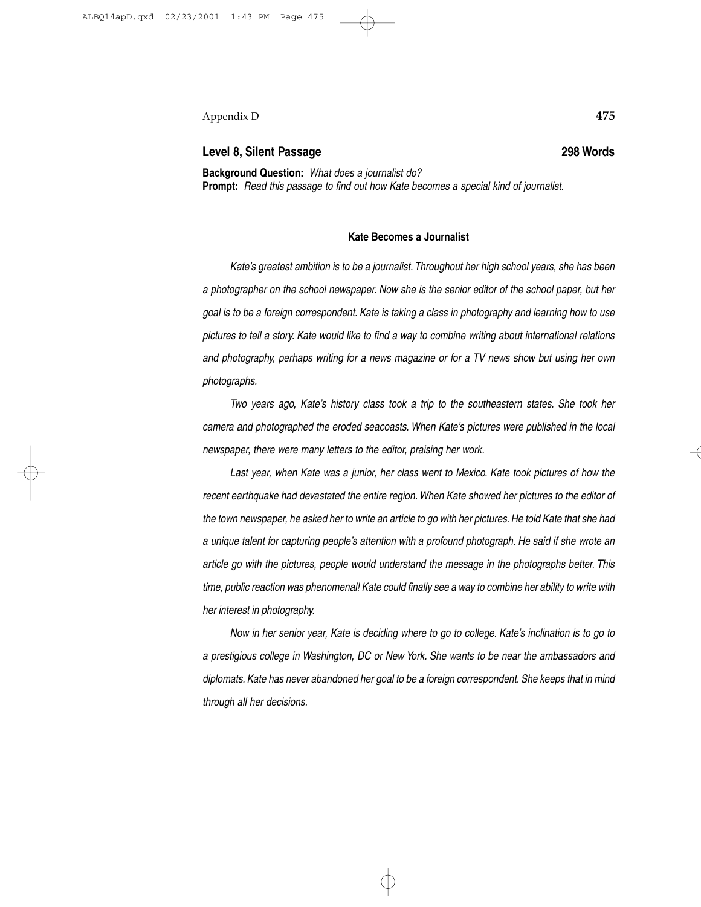# **Level 8, Silent Passage 298 Words**

**Background Question:** What does a journalist do? **Prompt:** Read this passage to find out how Kate becomes a special kind of journalist.

#### **Kate Becomes a Journalist**

Kate's greatest ambition is to be a journalist. Throughout her high school years, she has been a photographer on the school newspaper. Now she is the senior editor of the school paper, but her goal is to be a foreign correspondent. Kate is taking a class in photography and learning how to use pictures to tell a story. Kate would like to find a way to combine writing about international relations and photography, perhaps writing for a news magazine or for a TV news show but using her own photographs.

Two years ago, Kate's history class took a trip to the southeastern states. She took her camera and photographed the eroded seacoasts. When Kate's pictures were published in the local newspaper, there were many letters to the editor, praising her work.

Last year, when Kate was a junior, her class went to Mexico. Kate took pictures of how the recent earthquake had devastated the entire region. When Kate showed her pictures to the editor of the town newspaper, he asked her to write an article to go with her pictures. He told Kate that she had a unique talent for capturing people's attention with a profound photograph. He said if she wrote an article go with the pictures, people would understand the message in the photographs better. This time, public reaction was phenomenal! Kate could finally see a way to combine her ability to write with her interest in photography.

Now in her senior year, Kate is deciding where to go to college. Kate's inclination is to go to a prestigious college in Washington, DC or New York. She wants to be near the ambassadors and diplomats. Kate has never abandoned her goal to be a foreign correspondent. She keeps that in mind through all her decisions.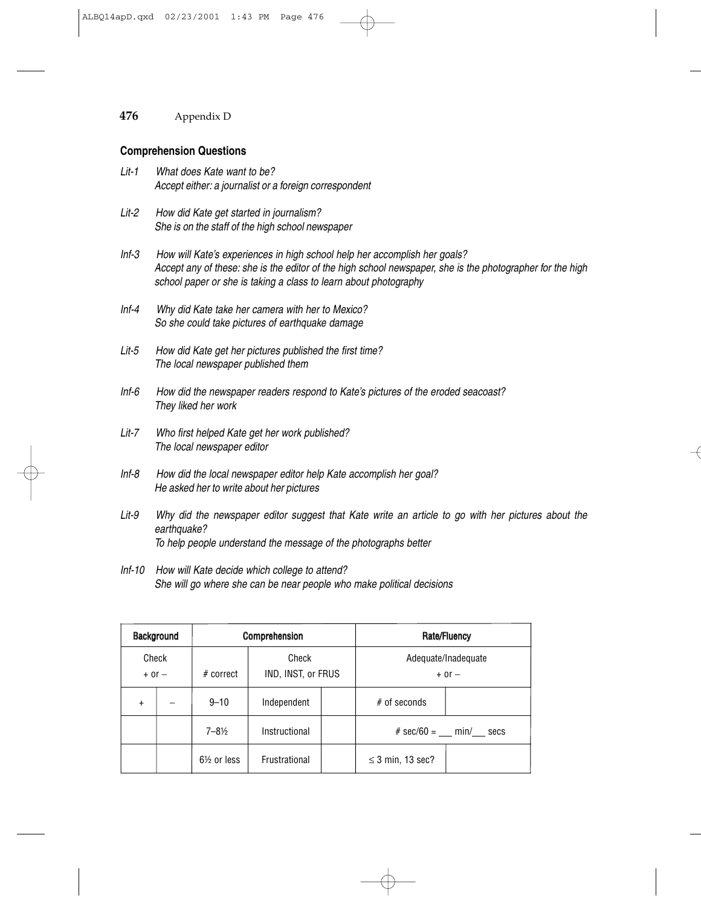- Lit-1 What does Kate want to be? Accept either: a journalist or a foreign correspondent
- Lit-2 How did Kate get started in journalism? She is on the staff of the high school newspaper
- Inf-3 How will Kate's experiences in high school help her accomplish her goals? Accept any of these: she is the editor of the high school newspaper, she is the photographer for the high school paper or she is taking a class to learn about photography
- Inf-4 Why did Kate take her camera with her to Mexico? So she could take pictures of earthquake damage
- Lit-5 How did Kate get her pictures published the first time? The local newspaper published them
- Inf-6 How did the newspaper readers respond to Kate's pictures of the eroded seacoast? They liked her work
- Lit-7 Who first helped Kate get her work published? The local newspaper editor
- Inf-8 How did the local newspaper editor help Kate accomplish her goal? He asked her to write about her pictures
- Lit-9 Why did the newspaper editor suggest that Kate write an article to go with her pictures about the earthquake? To help people understand the message of the photographs better
- Inf-10 How will Kate decide which college to attend? She will go where she can be near people who make political decisions

| <b>Background</b>   | Comprehension      |                             | Rate/Fluency |                               |                          |  |  |
|---------------------|--------------------|-----------------------------|--------------|-------------------------------|--------------------------|--|--|
| Check<br>$+$ or $-$ | $#$ correct        | Check<br>IND, INST, or FRUS |              | Adequate/Inadequate<br>$+0r-$ |                          |  |  |
| $+$                 | $9 - 10$           | Independent                 |              | $#$ of seconds                |                          |  |  |
|                     | $7 - 8\frac{1}{2}$ | Instructional               |              |                               | $# \sec/60 = \min/$ secs |  |  |
|                     | $6\%$ or less      | Frustrational               |              | $\leq$ 3 min, 13 sec?         |                          |  |  |